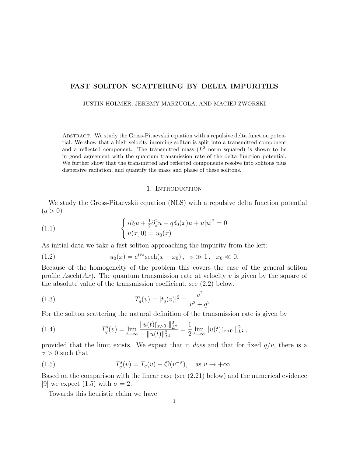# FAST SOLITON SCATTERING BY DELTA IMPURITIES

JUSTIN HOLMER, JEREMY MARZUOLA, AND MACIEJ ZWORSKI

Abstract. We study the Gross-Pitaevskii equation with a repulsive delta function potential. We show that a high velocity incoming soliton is split into a transmitted component and a reflected component. The transmitted mass  $(L^2 \text{ norm squared})$  is shown to be in good agreement with the quantum transmission rate of the delta function potential. We further show that the transmitted and reflected components resolve into solitons plus dispersive radiation, and quantify the mass and phase of these solitons.

#### 1. Introduction

We study the Gross-Pitaevskii equation (NLS) with a repulsive delta function potential  $(q > 0)$ 

(1.1) 
$$
\begin{cases} i\partial_t u + \frac{1}{2}\partial_x^2 u - q\delta_0(x)u + u|u|^2 = 0\\ u(x, 0) = u_0(x) \end{cases}
$$

As initial data we take a fast soliton approaching the impurity from the left:

(1.2) 
$$
u_0(x) = e^{ivx} \text{sech}(x - x_0), \quad v \gg 1, \quad x_0 \ll 0.
$$

Because of the homogeneity of the problem this covers the case of the general soliton profile Asech $(Ax)$ . The quantum transmission rate at velocity v is given by the square of the absolute value of the transmission coefficient, see (2.2) below,

(1.3) 
$$
T_q(v) = |t_q(v)|^2 = \frac{v^2}{v^2 + q^2}.
$$

For the soliton scattering the natural definition of the transmission rate is given by

(1.4) 
$$
T_q^s(v) = \lim_{t \to \infty} \frac{\|u(t)\|_{x>0}}{\|u(t)\|_{L^2}^2} = \frac{1}{2} \lim_{t \to \infty} \|u(t)\|_{x>0} \|_{L^2}^2,
$$

provided that the limit exists. We expect that it does and that for fixed  $q/v$ , there is a  $\sigma > 0$  such that

(1.5) 
$$
T_q^s(v) = T_q(v) + \mathcal{O}(v^{-\sigma}), \text{ as } v \to +\infty.
$$

Based on the comparison with the linear case (see (2.21) below) and the numerical evidence [9] we expect (1.5) with  $\sigma = 2$ .

Towards this heuristic claim we have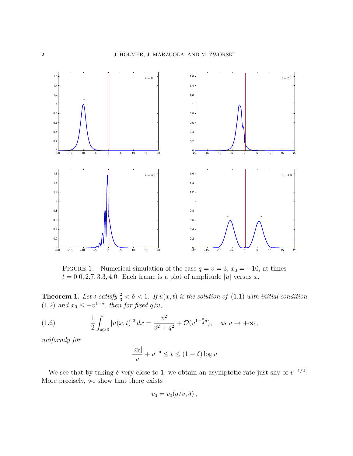

FIGURE 1. Numerical simulation of the case  $q = v = 3$ ,  $x_0 = -10$ , at times  $t = 0.0, 2.7, 3.3, 4.0$ . Each frame is a plot of amplitude |u| versus x.

**Theorem 1.** Let  $\delta$  satisfy  $\frac{2}{3} < \delta < 1$ . If  $u(x, t)$  is the solution of (1.1) with initial condition (1.2) and  $x_0 \leq -v^{1-\delta}$ , then for fixed  $q/v$ ,

(1.6) 
$$
\frac{1}{2} \int_{x>0} |u(x,t)|^2 dx = \frac{v^2}{v^2 + q^2} + \mathcal{O}(v^{1-\frac{3}{2}\delta}), \quad \text{as } v \to +\infty,
$$

uniformly for

$$
\frac{|x_0|}{v} + v^{-\delta} \le t \le (1 - \delta) \log v
$$

We see that by taking  $\delta$  very close to 1, we obtain an asymptotic rate just shy of  $v^{-1/2}$ . More precisely, we show that there exists

$$
v_0=v_0(q/v,\delta)\,,
$$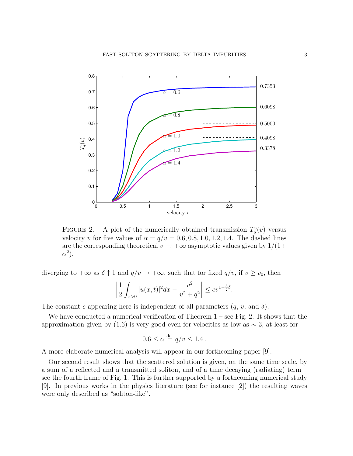

FIGURE 2. A plot of the numerically obtained transmission  $T_q^s(v)$  versus velocity v for five values of  $\alpha = q/v = 0.6, 0.8, 1.0, 1.2, 1.4$ . The dashed lines are the corresponding theoretical  $v \to +\infty$  asymptotic values given by  $1/(1+\mathcal{E})$  $\alpha^2$ ).

diverging to  $+\infty$  as  $\delta \uparrow 1$  and  $q/v \to +\infty$ , such that for fixed  $q/v$ , if  $v \ge v_0$ , then

$$
\left|\frac{1}{2}\int_{x>0}|u(x,t)|^2dx-\frac{v^2}{v^2+q^2}\right|\leq cv^{1-\frac{3}{2}\delta}.
$$

The constant c appearing here is independent of all parameters  $(q, v, \text{ and } \delta)$ .

We have conducted a numerical verification of Theorem  $1$  – see Fig. 2. It shows that the approximation given by (1.6) is very good even for velocities as low as  $\sim$  3, at least for

$$
0.6 \le \alpha \stackrel{\text{def}}{=} q/v \le 1.4 \, .
$$

A more elaborate numerical analysis will appear in our forthcoming paper [9].

Our second result shows that the scattered solution is given, on the same time scale, by a sum of a reflected and a transmitted soliton, and of a time decaying (radiating) term – see the fourth frame of Fig. 1. This is further supported by a forthcoming numerical study [9]. In previous works in the physics literature (see for instance [2]) the resulting waves were only described as "soliton-like".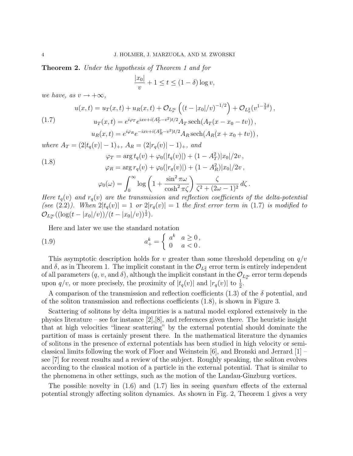Theorem 2. Under the hypothesis of Theorem 1 and for

$$
\frac{|x_0|}{v} + 1 \le t \le (1 - \delta) \log v,
$$

we have, as  $v \rightarrow +\infty$ ,

(1.7) 
$$
u(x,t) = u_T(x,t) + u_R(x,t) + \mathcal{O}_{L_x^{\infty}}\left((t - |x_0|/v)^{-1/2}\right) + \mathcal{O}_{L_x^2}(v^{1-\frac{3}{2}\delta}),
$$

$$
u_T(x,t) = e^{i\varphi_T}e^{ixv + i(A_T^2 - v^2)t/2}A_T \operatorname{sech}(A_T(x - x_0 - tv)),
$$

$$
u_R(x,t) = e^{i\varphi_R}e^{-ixv + i(A_R^2 - v^2)t/2}A_R \operatorname{sech}(A_R(x + x_0 + tv)),
$$

where  $A_T = (2|t_q(v)|-1)_+, A_R = (2|r_q(v)|-1)_+,$  and

(1.8) 
$$
\varphi_T = \arg t_q(v) + \varphi_0(|t_q(v)|) + (1 - A_T^2)|x_0|/2v, \n\varphi_R = \arg r_q(v) + \varphi_0(|r_q(v)|) + (1 - A_R^2)|x_0|/2v, \n\varphi_0(\omega) = \int_0^\infty \log \left(1 + \frac{\sin^2 \pi \omega}{\cosh^2 \pi \zeta}\right) \frac{\zeta}{\zeta^2 + (2\omega - 1)^2} d\zeta.
$$

Here  $t_q(v)$  and  $r_q(v)$  are the transmission and reflection coefficients of the delta-potential (see (2.2)). When  $2|t_q(v)| = 1$  or  $2|r_q(v)| = 1$  the first error term in (1.7) is modified to  $\mathcal{O}_{L^{\infty}_x}((\log(t - |x_0|/v))/(t - |x_0|/v))^{\frac{1}{2}}).$ 

Here and later we use the standard notation

(1.9) 
$$
a_+^k = \begin{cases} a^k & a \ge 0, \\ 0 & a < 0. \end{cases}
$$

This asymptotic description holds for v greater than some threshold depending on  $q/v$ and  $\delta$ , as in Theorem 1. The implicit constant in the  $\mathcal{O}_{L_x^2}$  error term is entirely independent of all parameters  $(q, v, \text{and } \delta)$ , although the implicit constant in the  $\mathcal{O}_{L_x^{\infty}}$  error term depends upon  $q/v$ , or more precisely, the proximity of  $|t_q(v)|$  and  $|r_q(v)|$  to  $\frac{1}{2}$ .

A comparison of the transmission and reflection coefficients (1.3) of the  $\delta$  potential, and of the soliton transmission and reflections coefficients (1.8), is shown in Figure 3.

Scattering of solitons by delta impurities is a natural model explored extensively in the physics literature – see for instance [2],[8], and references given there. The heuristic insight that at high velocities "linear scattering" by the external potential should dominate the partition of mass is certainly present there. In the mathematical literature the dynamics of solitons in the presence of external potentials has been studied in high velocity or semiclassical limits following the work of Floer and Weinstein [6], and Bronski and Jerrard [1] – see [7] for recent results and a review of the subject. Roughly speaking, the soliton evolves according to the classical motion of a particle in the external potential. That is similar to the phenomena in other settings, such as the motion of the Landau-Ginzburg vortices.

The possible novelty in  $(1.6)$  and  $(1.7)$  lies in seeing quantum effects of the external potential strongly affecting soliton dynamics. As shown in Fig. 2, Theorem 1 gives a very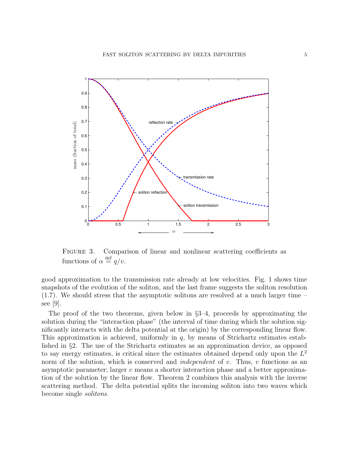

FIGURE 3. Comparison of linear and nonlinear scattering coefficients as functions of  $\alpha \stackrel{\text{def}}{=} q/v$ .

good approximation to the transmission rate already at low velocities. Fig. 1 shows time snapshots of the evolution of the soliton, and the last frame suggests the soliton resolution (1.7). We should stress that the asymptotic solitons are resolved at a much larger time – see [9].

The proof of the two theorems, given below in §3–4, proceeds by approximating the solution during the "interaction phase" (the interval of time during which the solution significantly interacts with the delta potential at the origin) by the corresponding linear flow. This approximation is achieved, uniformly in  $q$ , by means of Strichartz estimates established in §2. The use of the Strichartz estimates as an approximation device, as opposed to say energy estimates, is critical since the estimates obtained depend only upon the  $L^2$ norm of the solution, which is conserved and *independent* of  $v$ . Thus,  $v$  functions as an asymptotic parameter; larger v means a shorter interaction phase and a better approximation of the solution by the linear flow. Theorem 2 combines this analysis with the inverse scattering method. The delta potential splits the incoming soliton into two waves which become single solitons.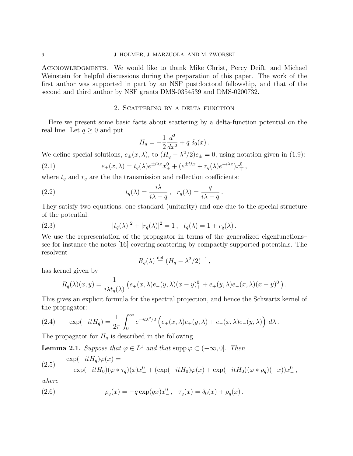Acknowledgments. We would like to thank Mike Christ, Percy Deift, and Michael Weinstein for helpful discussions during the preparation of this paper. The work of the first author was supported in part by an NSF postdoctoral fellowship, and that of the second and third author by NSF grants DMS-0354539 and DMS-0200732.

### 2. Scattering by a delta function

Here we present some basic facts about scattering by a delta-function potential on the real line. Let  $q \geq 0$  and put

$$
H_q = -\frac{1}{2}\frac{d^2}{dx^2} + q \delta_0(x) .
$$

We define special solutions,  $e_{\pm}(x,\lambda)$ , to  $(H_q - \lambda^2/2)e_{\pm} = 0$ , using notation given in (1.9):

(2.1) 
$$
e_{\pm}(x,\lambda) = t_q(\lambda)e^{\pm i\lambda x}x_{\pm}^0 + (e^{\pm i\lambda x} + r_q(\lambda)e^{\mp i\lambda x})x_{\mp}^0,
$$

where  $t_q$  and  $r_q$  are the the transmission and reflection coefficients:

(2.2) 
$$
t_q(\lambda) = \frac{i\lambda}{i\lambda - q}, \quad r_q(\lambda) = \frac{q}{i\lambda - q}.
$$

They satisfy two equations, one standard (unitarity) and one due to the special structure of the potential:

(2.3) 
$$
|t_q(\lambda)|^2 + |r_q(\lambda)|^2 = 1, \quad t_q(\lambda) = 1 + r_q(\lambda).
$$

We use the representation of the propagator in terms of the generalized eigenfunctions– see for instance the notes [16] covering scattering by compactly supported potentials. The resolvent

$$
R_q(\lambda) \stackrel{\text{def}}{=} (H_q - \lambda^2/2)^{-1},
$$

has kernel given by

$$
R_q(\lambda)(x, y) = \frac{1}{i\lambda t_q(\lambda)} \left( e_+(x, \lambda)e_-(y, \lambda)(x - y)^0_+ + e_+(y, \lambda)e_-(x, \lambda)(x - y)^0_-\right).
$$

This gives an explicit formula for the spectral projection, and hence the Schwartz kernel of the propagator:

(2.4) 
$$
\exp(-itH_q) = \frac{1}{2\pi} \int_0^\infty e^{-it\lambda^2/2} \left( e_+(x,\lambda) \overline{e_+(y,\lambda)} + e_-(x,\lambda) \overline{e_-(y,\lambda)} \right) d\lambda.
$$

The propagator for  $H_q$  is described in the following

**Lemma 2.1.** Suppose that  $\varphi \in L^1$  and that  $\text{supp}\varphi \subset (-\infty, 0]$ . Then

(2.5) 
$$
\exp(-itH_q)\varphi(x) = \exp(-itH_0)(\varphi * \tau_q)(x)x_+^0 + (\exp(-itH_0)\varphi(x) + \exp(-itH_0)(\varphi * \rho_q)(-x))x_-^0,
$$

where

(2.6) 
$$
\rho_q(x) = -q \exp(qx)x_-^0, \quad \tau_q(x) = \delta_0(x) + \rho_q(x).
$$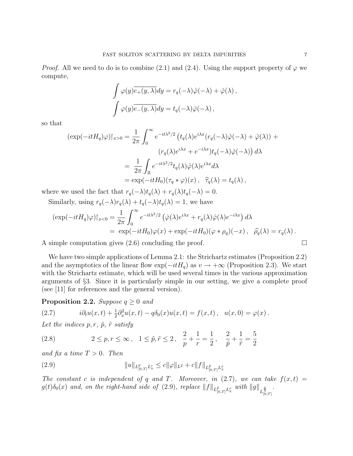*Proof.* All we need to do is to combine (2.1) and (2.4). Using the support property of  $\varphi$  we compute,

$$
\int \varphi(y)\overline{e_+(y,\lambda)}dy = r_q(-\lambda)\hat{\varphi}(-\lambda) + \hat{\varphi}(\lambda),
$$

$$
\int \varphi(y)\overline{e_-(y,\lambda)}dy = t_q(-\lambda)\hat{\varphi}(-\lambda),
$$

so that

$$
(\exp(-itH_q)\varphi)|_{x>0} = \frac{1}{2\pi} \int_0^\infty e^{-it\lambda^2/2} (t_q(\lambda)e^{i\lambda x}(r_q(-\lambda)\hat{\varphi}(-\lambda) + \hat{\varphi}(\lambda)) +
$$
  

$$
(r_q(\lambda)e^{i\lambda x} + e^{-i\lambda x})t_q(-\lambda)\hat{\varphi}(-\lambda)) d\lambda
$$
  

$$
= \frac{1}{2\pi} \int_{\mathbb{R}} e^{-it\lambda^2/2} t_q(\lambda)\hat{\varphi}(\lambda)e^{i\lambda x} d\lambda
$$
  

$$
= \exp(-itH_0)(\tau_q * \varphi)(x), \quad \hat{\tau}_q(\lambda) = t_q(\lambda),
$$

where we used the fact that  $r_q(-\lambda)t_q(\lambda) + r_q(\lambda)t_q(-\lambda) = 0$ . Similarly, using  $r_q(-\lambda)r_q(\lambda) + t_q(-\lambda)t_q(\lambda) = 1$ , we have

$$
(\exp(-itH_q)\varphi)|_{x<0} = \frac{1}{2\pi} \int_0^\infty e^{-it\lambda^2/2} \left( \hat{\varphi}(\lambda)e^{i\lambda x} + r_q(\lambda)\hat{\varphi}(\lambda)e^{-i\lambda x} \right) d\lambda
$$
  
=  $\exp(-itH_0)\varphi(x) + \exp(-itH_0)(\varphi * \rho_q)(-x), \quad \hat{\rho}_q(\lambda) = r_q(\lambda).$ 

A simple computation gives  $(2.6)$  concluding the proof.

We have two simple applications of Lemma 2.1: the Strichartz estimates (Proposition 2.2) and the asymptotics of the linear flow  $\exp(-itH_q)$  as  $v \to +\infty$  (Proposition 2.3). We start with the Strichartz estimate, which will be used several times in the various approximation arguments of §3. Since it is particularly simple in our setting, we give a complete proof (see [11] for references and the general version).

**Proposition 2.2.** Suppose  $q \geq 0$  and

(2.7) 
$$
i\partial_t u(x,t) + \frac{1}{2}\partial_x^2 u(x,t) - q\delta_0(x)u(x,t) = f(x,t), \quad u(x,0) = \varphi(x).
$$

Let the indices  $p, r, \tilde{p}, \tilde{r}$  satisfy

(2.8) 
$$
2 \le p, r \le \infty, \quad 1 \le \tilde{p}, \tilde{r} \le 2, \quad \frac{2}{p} + \frac{1}{r} = \frac{1}{2}, \quad \frac{2}{\tilde{p}} + \frac{1}{\tilde{r}} = \frac{5}{2}
$$

and fix a time  $T > 0$ . Then

(2.9) 
$$
||u||_{L_{[0,T]}^p L_x^r} \leq c||\varphi||_{L^2} + c||f||_{L_{[0,T]}^{\tilde{p}} L_x^{\tilde{r}}}
$$

The constant c is independent of q and T. Moreover, in  $(2.7)$ , we can take  $f(x,t) =$  $g(t)\delta_0(x)$  and, on the right-hand side of (2.9), replace  $||f||_{L_{[0,T]}^{\tilde{p}}L_x^{\tilde{x}}}$  with  $||g||_{L_{[0,T]}^{\frac{4}{3}}}$ .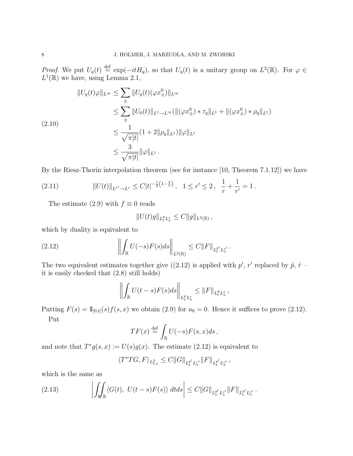*Proof.* We put  $U_q(t) \stackrel{\text{def}}{=} \exp(-itH_q)$ , so that  $U_q(t)$  is a unitary group on  $L^2(\mathbb{R})$ . For  $\varphi \in$  $L^1(\mathbb{R})$  we have, using Lemma 2.1,

$$
||U_q(t)\varphi||_{L^{\infty}} \leq \sum_{\pm} ||U_q(t)(\varphi x_{\pm}^0)||_{L^{\infty}}
$$
  
\n
$$
\leq \sum_{\pm} ||U_0(t)||_{L^1 \to L^{\infty}}(||(\varphi x_{\pm}^0) * \tau_q||_{L^1} + ||(\varphi x_{\pm}^0) * \rho_q||_{L^1})
$$
  
\n
$$
\leq \frac{1}{\sqrt{\pi|t|}} (1 + 2||\rho_q||_{L^1}) ||\varphi||_{L^1}
$$
  
\n
$$
\leq \frac{3}{\sqrt{\pi|t|}} ||\varphi||_{L^1}.
$$

By the Riesz-Thorin interpolation theorem (see for instance [10, Theorem 7.1.12]) we have

$$
(2.11) \t\t\t ||U(t)||_{L^{r'}\to L^r} \leq C|t|^{-\frac{1}{2}\left(1-\frac{2}{r}\right)}, \quad 1 \leq r' \leq 2 \,, \quad \frac{1}{r} + \frac{1}{r'} = 1 \,.
$$

The estimate (2.9) with  $f \equiv 0$  reads

$$
||U(t)g||_{L_t^p L_x^r} \leq C||g||_{L^2(\mathbb{R})},
$$

which by duality is equivalent to

(2.12) 
$$
\left\| \int_{\mathbb{R}} U(-s) F(s) ds \right\|_{L^{2}(\mathbb{R})} \leq C \|F\|_{L_{t}^{p'} L_{x}^{r'}}.
$$

The two equivalent estimates together give ((2.12) is applied with  $p'$ , r' replaced by  $\tilde{p}$ ,  $\tilde{r}$  – it is easily checked that (2.8) still holds)

$$
\left\| \int_{\mathbb{R}} U(t-s)F(s)ds \right\|_{L_t^p L_x^r} \leq \|F\|_{L_t^{\tilde{p}} L_x^{\tilde{r}}},
$$

Putting  $F(s) = 1_{[0,t]}(s) f(s, x)$  we obtain (2.9) for  $u_0 = 0$ . Hence it suffices to prove (2.12). Put

$$
TF(x) \stackrel{\text{def}}{=} \int_{\mathbb{R}} U(-s)F(s,x)ds,
$$

and note that  $T^*g(s, x) := U(s)g(x)$ . The estimate (2.12) is equivalent to

$$
\langle T^*T G, F \rangle_{L^2_{t,x}} \leq C ||G||_{L_t^{p'} L_x^{r'}} ||F||_{L_t^{p'} L_x^{r'}},
$$

which is the same as

(2.13) 
$$
\left| \iint_{\mathbb{R}} \langle G(t), U(t-s)F(s) \rangle dt ds \right| \leq C ||G||_{L_t^{p'} L_x^{r'}} ||F||_{L_t^{p'} L_x^{r'}}.
$$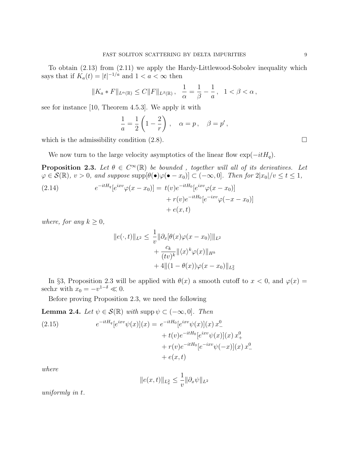To obtain (2.13) from (2.11) we apply the Hardy-Littlewood-Sobolev inequality which says that if  $K_a(t) = |t|^{-1/a}$  and  $1 < a < \infty$  then

$$
||K_a * F||_{L^{\alpha}(\mathbb{R})} \leq C ||F||_{L^{\beta}(\mathbb{R})}, \quad \frac{1}{\alpha} = \frac{1}{\beta} - \frac{1}{a}, \quad 1 < \beta < \alpha,
$$

see for instance [10, Theorem 4.5.3]. We apply it with

$$
\frac{1}{a} = \frac{1}{2} \left( 1 - \frac{2}{r} \right) , \quad \alpha = p , \quad \beta = p' ,
$$

which is the admissibility condition  $(2.8)$ .

We now turn to the large velocity asymptotics of the linear flow  $\exp(-itH_a)$ .

**Proposition 2.3.** Let  $\theta \in C^{\infty}(\mathbb{R})$  be bounded, together will all of its derivatives. Let  $\varphi \in \mathcal{S}(\mathbb{R}), v > 0$ , and suppose  $\text{supp}[\theta(\bullet)\varphi(\bullet - x_0)] \subset (-\infty, 0]$ . Then for  $2|x_0|/v \le t \le 1$ ,

(2.14) 
$$
e^{-itH_q}[e^{ixv}\varphi(x-x_0)] = t(v)e^{-itH_0}[e^{ixv}\varphi(x-x_0)] + r(v)e^{-itH_0}[e^{-ixv}\varphi(-x-x_0)] + e(x,t)
$$

where, for any  $k > 0$ ,

$$
||e(\cdot,t)||_{L^2} \leq \frac{1}{v} ||\partial_x[\theta(x)\varphi(x-x_0)]||_{L^2} + \frac{c_k}{(tv)^k} ||\langle x \rangle^k \varphi(x)||_{H^k} + 4||(1-\theta(x))\varphi(x-x_0)||_{L^2_x}
$$

In §3, Proposition 2.3 will be applied with  $\theta(x)$  a smooth cutoff to  $x < 0$ , and  $\varphi(x) =$ sechx with  $x_0 = -v^{1-\delta} \ll 0$ .

Before proving Proposition 2.3, we need the following

**Lemma 2.4.** Let  $\psi \in \mathcal{S}(\mathbb{R})$  with supp  $\psi \subset (-\infty, 0]$ . Then  $(2.15)$  $e^{-itH_q}[e^{ixv}\psi(x)](x) = e^{-itH_0}[e^{ixv}\psi(x)](x) x^0_-$ +  $t(v)e^{-itH_0}[e^{ixv}\psi(x)](x) x^0_+$  $+ r(v)e^{-itH_0}[e^{-ixv}\psi(-x)](x) x_-^0$  $+ e(x, t)$ 

where

$$
||e(x,t)||_{L_x^2} \le \frac{1}{v} ||\partial_x \psi||_{L^2}
$$

uniformly in t.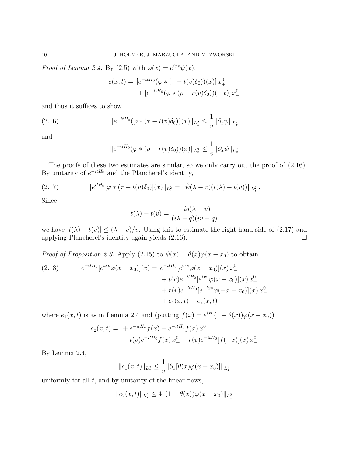*Proof of Lemma 2.4.* By (2.5) with  $\varphi(x) = e^{ixv}\psi(x)$ ,

$$
e(x,t) = [e^{-itH_0}(\varphi * (\tau - t(v)\delta_0))(x)] x_+^0
$$
  
+ 
$$
[e^{-itH_0}(\varphi * (\rho - r(v)\delta_0))(-x)] x_-^0
$$

and thus it suffices to show

(2.16) 
$$
||e^{-itH_0}(\varphi * (\tau - t(v)\delta_0))(x)||_{L_x^2} \leq \frac{1}{v}||\partial_x \psi||_{L_x^2}
$$

and

$$
||e^{-itH_0}(\varphi * (\rho - r(v)\delta_0))(x)||_{L_x^2} \le \frac{1}{v} ||\partial_x \psi||_{L_x^2}
$$

The proofs of these two estimates are similar, so we only carry out the proof of  $(2.16)$ . By unitarity of  $e^{-itH_0}$  and the Plancherel's identity,

(2.17) 
$$
\|e^{itH_0}[\varphi * (\tau - t(v)\delta_0)](x)\|_{L_x^2} = \|\hat{\psi}(\lambda - v)(t(\lambda) - t(v))\|_{L_x^2}.
$$

Since

$$
t(\lambda) - t(v) = \frac{-iq(\lambda - v)}{(i\lambda - q)(iv - q)}
$$

we have  $|t(\lambda) - t(v)| \le (\lambda - v)/v$ . Using this to estimate the right-hand side of (2.17) and applying Plancherel's identity again yields  $(2.16)$ .

*Proof of Proposition 2.3.* Apply (2.15) to  $\psi(x) = \theta(x)\varphi(x-x_0)$  to obtain  $(2.18)$  $e^{-itH_q}[e^{ixv}\varphi(x-x_0)](x) = e^{-itH_0}[e^{ixv}\varphi(x-x_0)](x)x_-^0$ +  $t(v)e^{-itH_0}[e^{ixv}\varphi(x-x_0)](x)x_+^0$  $+ r(v)e^{-itH_0}[e^{-ixv}\varphi(-x-x_0)](x)x_-^0$  $+ e_1(x, t) + e_2(x, t)$ 

where  $e_1(x,t)$  is as in Lemma 2.4 and (putting  $f(x) = e^{ixv}(1 - \theta(x))\varphi(x - x_0)$ )

$$
e_2(x,t) = +e^{-itH_q} f(x) - e^{-itH_0} f(x) x_-^0
$$
  
-  $t(v)e^{-itH_0} f(x) x_+^0 - r(v)e^{-itH_0}[f(-x)](x) x_-^0$ 

By Lemma 2.4,

$$
||e_1(x,t)||_{L_x^2} \le \frac{1}{v} ||\partial_x[\theta(x)\varphi(x-x_0)]||_{L_x^2}
$$

uniformly for all  $t$ , and by unitarity of the linear flows,

$$
||e_2(x,t)||_{L_x^2} \le 4||(1-\theta(x))\varphi(x-x_0)||_{L_x^2}
$$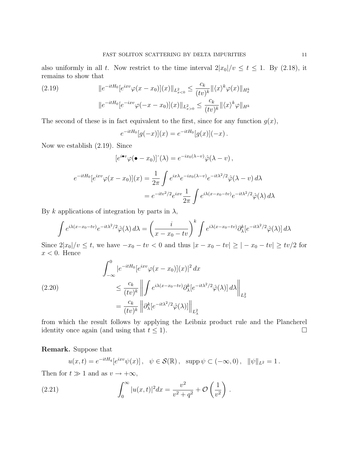also uniformly in all t. Now restrict to the time interval  $2|x_0|/v \le t \le 1$ . By (2.18), it remains to show that

(2.19) 
$$
\|e^{-itH_0}[e^{ixv}\varphi(x-x_0)](x)\|_{L^2_{x<0}} \leq \frac{c_k}{(tv)^k} \|\langle x\rangle^k \varphi(x)\|_{H^k_x}
$$

$$
\|e^{-itH_0}[e^{-ixv}\varphi(-x-x_0)](x)\|_{L^2_{x>0}} \leq \frac{c_k}{(tv)^k} \|\langle x\rangle^k \varphi\|_{H^k}
$$

The second of these is in fact equivalent to the first, since for any function  $g(x)$ ,

$$
e^{-itH_0}[g(-x)](x) = e^{-itH_0}[g(x)](-x).
$$

Now we establish (2.19). Since

$$
[e^{i\bullet v}\varphi(\bullet - x_0)](\lambda) = e^{-ix_0(\lambda - v)}\hat{\varphi}(\lambda - v),
$$
  

$$
e^{-itH_0}[e^{ixv}\varphi(x - x_0)](x) = \frac{1}{2\pi} \int e^{ix\lambda}e^{-ix_0(\lambda - v)}e^{-it\lambda^2/2}\hat{\varphi}(\lambda - v) d\lambda
$$
  

$$
= e^{-itv^2/2}e^{ixv}\frac{1}{2\pi} \int e^{i\lambda(x - x_0 - tv)}e^{-it\lambda^2/2}\hat{\varphi}(\lambda) d\lambda
$$

By k applications of integration by parts in  $\lambda$ ,

$$
\int e^{i\lambda(x-x_0-tv)}e^{-it\lambda^2/2}\hat{\varphi}(\lambda) d\lambda = \left(\frac{i}{x-x_0-tv}\right)^k \int e^{i\lambda(x-x_0-tv)}\partial_\lambda^k [e^{-it\lambda^2/2}\hat{\varphi}(\lambda)] d\lambda
$$

Since  $2|x_0|/v \leq t$ , we have  $-x_0 - tv < 0$  and thus  $|x - x_0 - tv| \geq |-x_0 - tv| \geq tv/2$  for  $x < 0$ . Hence

(2.20)  
\n
$$
\int_{-\infty}^{0} |e^{-itH_0}[e^{ixv}\varphi(x-x_0)](x)|^2 dx
$$
\n
$$
\leq \frac{c_k}{(tv)^k} \left\| \int e^{i\lambda(x-x_0-tv)} \partial_{\lambda}^k [e^{-it\lambda^2/2} \hat{\varphi}(\lambda)] d\lambda \right\|_{L_x^2}
$$
\n
$$
= \frac{c_k}{(tv)^k} \left\| \partial_{\lambda}^k [e^{-it\lambda^2/2} \hat{\varphi}(\lambda)] \right\|_{L_x^2}
$$

from which the result follows by applying the Leibniz product rule and the Plancherel identity once again (and using that  $t \leq 1$ ).

# Remark. Suppose that

$$
u(x,t) = e^{-itH_q}[e^{ixv}\psi(x)], \quad \psi \in \mathcal{S}(\mathbb{R}), \text{ supp } \psi \subset (-\infty,0), \ \ \|\psi\|_{L^2} = 1.
$$

Then for  $t \gg 1$  and as  $v \to +\infty$ ,

(2.21) 
$$
\int_0^\infty |u(x,t)|^2 dx = \frac{v^2}{v^2 + q^2} + \mathcal{O}\left(\frac{1}{v^2}\right).
$$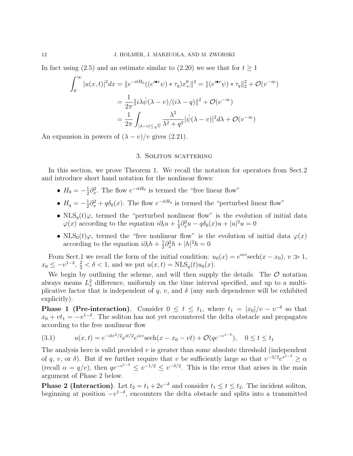In fact using (2.5) and an estimate similar to (2.20) we see that for  $t > 1$ 

$$
\int_0^\infty |u(x,t)|^2 dx = ||e^{-itH_0}((e^{i\bullet v}\psi) * \tau_q)x_+^0||^2 = ||(e^{i\bullet v}\psi) * \tau_q||_2^2 + \mathcal{O}(v^{-\infty})
$$
  

$$
= \frac{1}{2\pi} ||i\lambda \hat{\psi}(\lambda - v)/(i\lambda - q)||^2 + \mathcal{O}(v^{-\infty})
$$
  

$$
= \frac{1}{2\pi} \int_{|\lambda - v| \le \sqrt{v}} \frac{\lambda^2}{\lambda^2 + q^2} |\hat{\psi}(\lambda - v)|^2 d\lambda + \mathcal{O}(v^{-\infty})
$$

An expansion in powers of  $(\lambda - v)/v$  gives (2.21).

### 3. SOLITON SCATTERING

In this section, we prove Theorem 1. We recall the notation for operators from Sect.2 and introduce short hand notation for the nonlinear flows:

- $H_0 = -\frac{1}{2}$  $\frac{1}{2}\partial_x^2$ . The flow  $e^{-itH_0}$  is termed the "free linear flow"
- $H_q = -\frac{1}{2}$  $\frac{1}{2}\partial_x^2 + q\delta_0(x)$ . The flow  $e^{-itH_q}$  is termed the "perturbed linear flow"
- NLS<sub>q</sub>(t) $\varphi$ , termed the "perturbed nonlinear flow" is the evolution of initial data  $\varphi(x)$  according to the equation  $i\partial_t u + \frac{1}{2}$  $\frac{1}{2}\partial_x^2 u - q\delta_0(x)u + |u|^2 u = 0$
- NLS<sub>0</sub>(t) $\varphi$ , termed the "free nonlinear flow" is the evolution of initial data  $\varphi(x)$ according to the equation  $i\partial_t h + \frac{1}{2}$  $\frac{1}{2}\partial_x^2 h + |h|^2 h = 0$

From Sect.1 we recall the form of the initial condition:  $u_0(x) = e^{ixv} \text{sech}(x - x_0), v \gg 1$ ,  $x_0 \leq -v^{1-\delta}, \frac{2}{3} < \delta < 1$ , and we put  $u(x,t) = NLS_q(t)u_0(x)$ .

We begin by outlining the scheme, and will then supply the details. The  $\mathcal O$  notation always means  $L_x^2$  difference, uniformly on the time interval specified, and up to a multiplicative factor that is independent of q, v, and  $\delta$  (any such dependence will be exhibited explicitly).

**Phase 1 (Pre-interaction)**. Consider  $0 \le t \le t_1$ , where  $t_1 = |x_0|/v - v^{-\delta}$  so that  $x_0 + vt_1 = -v^{1-\delta}$ . The soliton has not yet encountered the delta obstacle and propagates according to the free nonlinear flow

(3.1) 
$$
u(x,t) = e^{-itv^2/2}e^{it/2}e^{ixv}\mathrm{sech}(x-x_0-vt) + \mathcal{O}(qe^{-v^{1-\delta}}), \quad 0 \le t \le t_1
$$

The analysis here is valid provided  $v$  is greater than some absolute threshold (independent of q, v, or  $\delta$ ). But if we further require that v be sufficiently large so that  $v^{-3/2}e^{v^{1-\delta}} \geq \alpha$ (recall  $\alpha = q/v$ ), then  $qe^{-v^{1-\delta}} \leq v^{-1/2} \leq v^{-\delta/2}$ . This is the error that arises in the main argument of Phase 2 below.

**Phase 2 (Interaction)**. Let  $t_2 = t_1 + 2v^{-\delta}$  and consider  $t_1 \le t \le t_2$ . The incident soliton, beginning at position  $-v^{1-\delta}$ , encounters the delta obstacle and splits into a transmitted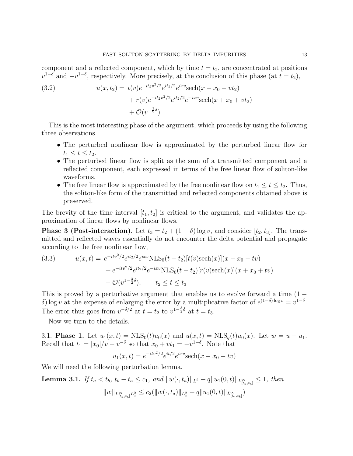component and a reflected component, which by time  $t = t_2$ , are concentrated at positions  $v^{1-\delta}$  and  $-v^{1-\delta}$ , respectively. More precisely, at the conclusion of this phase (at  $t = t_2$ ),

(3.2) 
$$
u(x,t_2) = t(v)e^{-it_2v^2/2}e^{it_2/2}e^{ixv}\mathrm{sech}(x-x_0-vt_2) + r(v)e^{-it_2v^2/2}e^{it_2/2}e^{-ixv}\mathrm{sech}(x+x_0+vt_2) + \mathcal{O}(v^{-\frac{1}{2}\delta})
$$

This is the most interesting phase of the argument, which proceeds by using the following three observations

- The perturbed nonlinear flow is approximated by the perturbed linear flow for  $t_1 \leq t \leq t_2$ .
- The perturbed linear flow is split as the sum of a transmitted component and a reflected component, each expressed in terms of the free linear flow of soliton-like waveforms.
- The free linear flow is approximated by the free nonlinear flow on  $t_1 \le t \le t_2$ . Thus, the soliton-like form of the transmitted and reflected components obtained above is preserved.

The brevity of the time interval  $[t_1, t_2]$  is critical to the argument, and validates the approximation of linear flows by nonlinear flows.

**Phase 3 (Post-interaction)**. Let  $t_3 = t_2 + (1 - \delta) \log v$ , and consider [ $t_2, t_3$ ]. The transmitted and reflected waves essentially do not encounter the delta potential and propagate according to the free nonlinear flow,

(3.3) 
$$
u(x,t) = e^{-itv^2/2}e^{it_2/2}e^{ixv}NLS_0(t-t_2)[t(v)\text{sech}(x)](x-x_0-tv) + e^{-itv^2/2}e^{it_2/2}e^{-ixv}NLS_0(t-t_2)[r(v)\text{sech}(x)](x+x_0+tv) + \mathcal{O}(v^{1-\frac{3}{2}\delta}), \qquad t_2 \le t \le t_3
$$

This is proved by a perturbative argument that enables us to evolve forward a time  $(1$ δ) log v at the expense of enlarging the error by a multiplicative factor of  $e^{(1-\delta)\log v} = v^{1-\delta}$ . The error thus goes from  $v^{-\delta/2}$  at  $t = t_2$  to  $v^{1-\frac{3}{2}\delta}$  at  $t = t_3$ .

Now we turn to the details.

3.1. **Phase 1.** Let  $u_1(x,t) = NLS_0(t)u_0(x)$  and  $u(x,t) = NLS_0(t)u_0(x)$ . Let  $w = u - u_1$ . Recall that  $t_1 = |x_0|/v - v^{-\delta}$  so that  $x_0 + vt_1 = -v^{1-\delta}$ . Note that

$$
u_1(x,t) = e^{-itv^2/2}e^{it/2}e^{ixv}\mathrm{sech}(x - x_0 - tv)
$$

We will need the following perturbation lemma.

**Lemma 3.1.** If 
$$
t_a < t_b
$$
,  $t_b - t_a \le c_1$ , and  $||w(\cdot, t_a)||_{L^2} + q||u_1(0, t)||_{L^{\infty}_{[t_a, t_b]}} \le 1$ , then  

$$
||w||_{L^{\infty}_{[t_a, t_b]}L^2_x} \le c_2(||w(\cdot, t_a)||_{L^2_x} + q||u_1(0, t)||_{L^{\infty}_{[t_a, t_b]}})
$$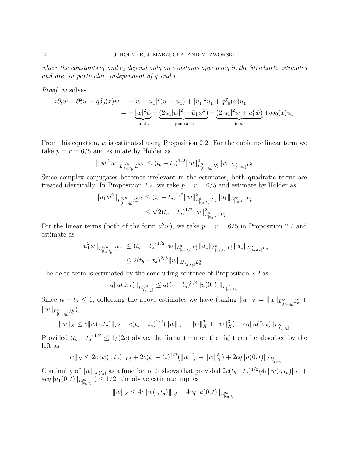where the constants  $c_1$  and  $c_2$  depend only on constants appearing in the Strichartz estimates and are, in particular, independent of q and v.

Proof. w solves

$$
i\partial_t w + \partial_x^2 w - q\delta_0(x)w = -|w + u_1|^2(w + u_1) + |u_1|^2 u_1 + q\delta_0(x)u_1
$$
  
= 
$$
-\underbrace{|w|^2 w}_{\text{cubic}} - \underbrace{(2u_1|w|^2 + \bar{u}_1w^2)}_{\text{quadratic}} - \underbrace{(2|u_1|^2w + u_1^2\bar{w})}_{\text{linear}} + q\delta_0(x)u_1
$$

From this equation,  $w$  is estimated using Proposition 2.2. For the cubic nonlinear term we take  $\tilde{p} = \tilde{r} = 6/5$  and estimate by Hölder as

$$
\| |w|^2 w \|_{L_{[t_a,t_b]}^{6/5} L_x^{6/5}} \le (t_b - t_a)^{1/2} \| w \|_{L_{[t_a,t_b]}^6 L_x^6}^2 \| w \|_{L_{[t_a,t_b]}^\infty L_x^2}
$$

Since complex conjugates becomes irrelevant in the estimates, both quadratic terms are treated identically. In Proposition 2.2, we take  $\tilde{p} = \tilde{r} = 6/5$  and estimate by Hölder as

$$
||u_1 w^2||_{L_{[ta,t_b]}^{6/5}L_x^{6/5}} \le (t_b - t_a)^{1/2} ||w||_{L_{[ta,t_b]}^6L_x^6}^2 ||u_1||_{L_{[ta,t_b]}^\inftyL_x^2}
$$
  

$$
\le \sqrt{2}(t_b - t_a)^{1/2} ||w||_{L_{[ta,t_b]}^6L_x^6}^2
$$

For the linear terms (both of the form  $u_1^2w$ ), we take  $\tilde{p} = \tilde{r} = 6/5$  in Proposition 2.2 and estimate as

$$
||u_1^2 w||_{L_{[t_a,t_b]}^{6/5}L_x^{6/5}} \le (t_b - t_a)^{1/2} ||w||_{L_{[t_a,t_b]}^6L_x^6} ||u_1||_{L_{[t_a,t_b]}^6L_x^6} ||u_1||_{L_{[t_a,t_b]}^\inftyL_x^2}
$$
  

$$
\le 2(t_b - t_a)^{2/3} ||w||_{L_{[t_a,t_b]}^6L_x^6}
$$

The delta term is estimated by the concluding sentence of Proposition 2.2 as

$$
q||u(0,t)||_{L_{[ta,t_b]}^{4/3}} \leq q(t_b-t_a)^{3/4}||u(0,t)||_{L_{[ta,t_b]}^{\infty}}
$$

Since  $t_b - t_a \leq 1$ , collecting the above estimates we have (taking  $||w||_X = ||w||_{L_{[t_a,t_b]}^{\infty}L_x^2} +$  $||w||_{L_{[t_a,t_b]}^6L_x^6},$ 

$$
||w||_X \leq c||w(\cdot,t_a)||_{L_x^2} + c(t_b - t_a)^{1/2} (||w||_X + ||w||_X^2 + ||w||_X^3) + cq||u(0,t)||_{L_{[t_a,t_b]}^{\infty}}
$$

Provided  $(t_b - t_a)^{1/2} \le 1/(2c)$  above, the linear term on the right can be absorbed by the left as

$$
||w||_X \le 2c||w(\cdot, t_a)||_{L^2_x} + 2c(t_b - t_a)^{1/2} (||w||_X^2 + ||w||_X^3) + 2cq||u(0, t)||_{L^{\infty}_{[t_a, t_b]}}
$$

Continuity of  $||w||_{X(t_b)}$  as a function of  $t_b$  shows that provided  $2c(t_b-t_a)^{1/2}(4c||w(\cdot,t_a)||_{L^2} +$  $4cq\|u_1(0, t)\|_{L^{\infty}_{[ta, t_b]}} \leq 1/2$ , the above estimate implies

$$
||w||_X \le 4c||w(\cdot, t_a)||_{L^2_x} + 4cq||u(0, t)||_{L^{\infty}_{[t_a, t_b]}}
$$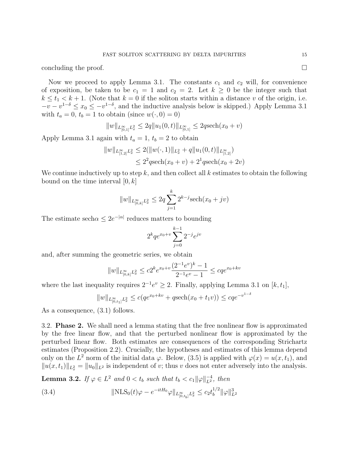concluding the proof.  $\Box$ 

Now we proceed to apply Lemma 3.1. The constants  $c_1$  and  $c_2$  will, for convenience of exposition, be taken to be  $c_1 = 1$  and  $c_2 = 2$ . Let  $k \geq 0$  be the integer such that  $k \le t_1 < k+1$ . (Note that  $k = 0$  if the soliton starts within a distance v of the origin, i.e.  $-v-v^{1-\delta} \le x_0 \le -v^{1-\delta}$ , and the inductive analysis below is skipped.) Apply Lemma 3.1 with  $t_a = 0, t_b = 1$  to obtain (since  $w(\cdot, 0) = 0$ )

$$
||w||_{L^{\infty}_{[0,1]}L^2_x} \le 2q||u_1(0,t)||_{L^{\infty}_{[0,1]}} \le 2q \mathrm{sech}(x_0+v)
$$

Apply Lemma 3.1 again with  $t_a = 1$ ,  $t_b = 2$  to obtain

$$
||w||_{L^{\infty}_{[1,2]}L^{2}_{x}} \leq 2(||w(\cdot,1)||_{L^{2}_{x}} + q||u_{1}(0,t)||_{L^{\infty}_{[1,2]}})
$$
  

$$
\leq 2^{2}q \operatorname{sech}(x_{0} + v) + 2^{1}q \operatorname{sech}(x_{0} + 2v)
$$

We continue inductively up to step k, and then collect all k estimates to obtain the following bound on the time interval  $[0, k]$ 

$$
||w||_{L_{[0,k]}^{\infty}L_x^2} \le 2q \sum_{j=1}^k 2^{k-j} \mathrm{sech}(x_0 + jv)
$$

The estimate sech $\alpha \leq 2e^{-|\alpha|}$  reduces matters to bounding

$$
2^{k} q e^{x_0+v} \sum_{j=0}^{k-1} 2^{-j} e^{jv}
$$

and, after summing the geometric series, we obtain

$$
||w||_{L_{[0,k]}^{\infty}L_x^2} \le c2^k e^{x_0+v} \frac{(2^{-1}e^v)^k - 1}{2^{-1}e^v - 1} \le c q e^{x_0 + kv}
$$

where the last inequality requires  $2^{-1}e^v \geq 2$ . Finally, applying Lemma 3.1 on [k, t<sub>1</sub>],

$$
||w||_{L_{[0,t_1]}^{\infty}L_x^2} \le c(qe^{x_0+kv} + q\mathrm{sech}(x_0 + t_1v)) \le cqe^{-v^{1-\delta}}
$$

As a consequence, (3.1) follows.

3.2. Phase 2. We shall need a lemma stating that the free nonlinear flow is approximated by the free linear flow, and that the perturbed nonlinear flow is approximated by the perturbed linear flow. Both estimates are consequences of the corresponding Strichartz estimates (Proposition 2.2). Crucially, the hypotheses and estimates of this lemma depend only on the  $L^2$  norm of the initial data  $\varphi$ . Below, (3.5) is applied with  $\varphi(x) = u(x, t_1)$ , and  $||u(x, t_1)||_{L^2_x} = ||u_0||_{L^2}$  is independent of v; thus v does not enter adversely into the analysis.

**Lemma 3.2.** If  $\varphi \in L^2$  and  $0 < t_b$  such that  $t_b < c_1 \|\varphi\|_{L^2}^{-4}$ , then

(3.4) 
$$
\|\text{NLS}_0(t)\varphi - e^{-itH_0}\varphi\|_{L_{[0,t_b]}^\infty L_x^2} \leq c_2 t_b^{1/2} \|\varphi\|_{L^2}^3
$$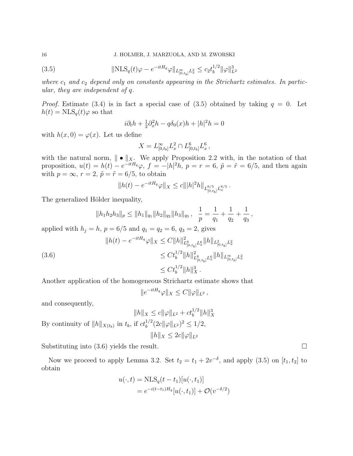(3.5) 
$$
\|\text{NLS}_{q}(t)\varphi - e^{-itH_{q}}\varphi\|_{L_{[0,t_b]}^{\infty}L_x^2} \leq c_2 t_b^{1/2} \|\varphi\|_{L^2}^3
$$

where  $c_1$  and  $c_2$  depend only on constants appearing in the Strichartz estimates. In particular, they are independent of q.

*Proof.* Estimate (3.4) is in fact a special case of (3.5) obtained by taking  $q = 0$ . Let  $h(t) = NLS_q(t)\varphi$  so that

$$
i\partial_t h + \frac{1}{2}\partial_x^2 h - q\delta_0(x)h + |h|^2 h = 0
$$

with  $h(x, 0) = \varphi(x)$ . Let us define

$$
X = L_{[0,t_b]}^{\infty} L_x^2 \cap L_{[0,t_b]}^6 L_x^6,
$$

with the natural norm,  $\|\bullet\|_X$ . We apply Proposition 2.2 with, in the notation of that proposition,  $u(t) = h(t) - e^{-itH_q}\varphi$ ,  $f = -|h|^2h$ ,  $p = r = 6$ ,  $\tilde{p} = \tilde{r} = 6/5$ , and then again with  $p = \infty$ ,  $r = 2$ ,  $\tilde{p} = \tilde{r} = 6/5$ , to obtain

$$
||h(t) - e^{-itH_q}\varphi||_X \leq c|||h|^2 h||_{L_{[0,t_b]}^{6/5}L_x^{6/5}}.
$$

The generalized Hölder inequality,

$$
||h_1h_2h_3||_p \le ||h_1||_{q_1} ||h_2||_{q_2} ||h_3||_{q_3}, \quad \frac{1}{p} = \frac{1}{q_1} + \frac{1}{q_2} + \frac{1}{q_3},
$$

applied with  $h_j = h$ ,  $p = 6/5$  and  $q_1 = q_2 = 6$ ,  $q_3 = 2$ , gives

(3.6)  
\n
$$
||h(t) - e^{-itH_q} \varphi||_X \leq C ||h||_{L^6_{[0,t_b]}L^6_x}^2 ||h||_{L^2_{[0,t_b]}L^2_x}
$$
\n
$$
\leq C t_b^{1/2} ||h||_{L^6_{[0,t_b]}L^6_x}^2 ||h||_{L^{\infty}_{[0,t_b]}L^2_x}
$$
\n
$$
\leq C t_b^{1/2} ||h||_X^3.
$$

Another application of the homogeneous Strichartz estimate shows that

$$
||e^{-itH_q}\varphi||_X \leq C ||\varphi||_{L^2},
$$

and consequently,

 $||h||_X \leq c||\varphi||_{L^2} + ct_b^{1/2}||h||_X^3$ By continuity of  $||h||_{X(t_b)}$  in  $t_b$ , if  $ct_b^{1/2} (2c||\varphi||_{L^2})^2 \leq 1/2$ ,  $||h||_X \leq 2c||\varphi||_{L^2}$ 

Substituting into  $(3.6)$  yields the result.

Now we proceed to apply Lemma 3.2. Set  $t_2 = t_1 + 2v^{-\delta}$ , and apply (3.5) on  $[t_1, t_2]$  to obtain

$$
u(\cdot, t) = \text{NLS}_q(t - t_1)[u(\cdot, t_1)]
$$
  
=  $e^{-i(t - t_1)H_q}[u(\cdot, t_1)] + \mathcal{O}(v^{-\delta/2})$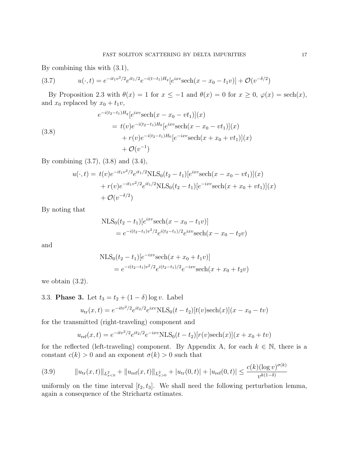By combining this with (3.1),

(3.7) 
$$
u(\cdot,t) = e^{-it_1v^2/2}e^{it_1/2}e^{-i(t-t_1)H_q}[e^{ixv}\mathrm{sech}(x-x_0-t_1v)] + \mathcal{O}(v^{-\delta/2})
$$

By Proposition 2.3 with  $\theta(x) = 1$  for  $x \le -1$  and  $\theta(x) = 0$  for  $x \ge 0$ ,  $\varphi(x) = \operatorname{sech}(x)$ , and  $x_0$  replaced by  $x_0 + t_1v$ ,

(3.8)  
\n
$$
e^{-i(t_2-t_1)H_q}[e^{ixv}\text{sech}(x-x_0-vt_1)](x)
$$
\n
$$
= t(v)e^{-i(t_2-t_1)H_0}[e^{ixv}\text{sech}(x-x_0-vt_1)](x)
$$
\n
$$
+ r(v)e^{-i(t_2-t_1)H_0}[e^{-ixv}\text{sech}(x+x_0+vt_1)](x)
$$
\n
$$
+ \mathcal{O}(v^{-1})
$$

By combining (3.7), (3.8) and (3.4),

$$
u(\cdot, t) = t(v)e^{-it_1v^2/2}e^{it_1/2}NLS_0(t_2 - t_1)[e^{ixv}\mathrm{sech}(x - x_0 - vt_1)](x)
$$
  
+  $r(v)e^{-it_1v^2/2}e^{it_1/2}NLS_0(t_2 - t_1)[e^{-ixv}\mathrm{sech}(x + x_0 + vt_1)](x)$   
+  $\mathcal{O}(v^{-\delta/2})$ 

By noting that

$$
NLS_0(t_2 - t_1)[e^{ixv}\text{sech}(x - x_0 - t_1v)]
$$
  
=  $e^{-i(t_2 - t_1)v^2/2}e^{i(t_2 - t_1)/2}e^{ixv}\text{sech}(x - x_0 - t_2v)$ 

and

$$
NLS_0(t_2 - t_1)[e^{-ixv}\text{sech}(x + x_0 + t_1v)]
$$
  
=  $e^{-i(t_2 - t_1)v^2/2}e^{i(t_2 - t_1)/2}e^{-ixv}\text{sech}(x + x_0 + t_2v)$ 

we obtain (3.2).

3.3. **Phase 3.** Let  $t_3 = t_2 + (1 - \delta) \log v$ . Label

$$
u_{\rm tr}(x,t) = e^{-itv^2/2} e^{it_2/2} e^{ixv} NLS_0(t-t_2)[t(v)\text{sech}(x)](x-x_0-tv)
$$

for the transmitted (right-traveling) component and

$$
u_{ref}(x,t) = e^{-itv^2/2}e^{it_2/2}e^{-ixv}NLS_0(t-t_2)[r(v)\text{sech}(x)](x+x_0+tv)
$$

for the reflected (left-traveling) component. By Appendix A, for each  $k \in \mathbb{N}$ , there is a constant  $c(k) > 0$  and an exponent  $\sigma(k) > 0$  such that

$$
(3.9) \t\t\t\t\t\|u_{\text{tr}}(x,t)\|_{L_{x<0}^2} + \|u_{\text{ref}}(x,t)\|_{L_{x>0}^2} + |u_{\text{tr}}(0,t)| + |u_{\text{ref}}(0,t)| \le \frac{c(k)(\log v)^{\sigma(k)}}{v^{k(1-\delta)}}
$$

uniformly on the time interval  $[t_2, t_3]$ . We shall need the following perturbation lemma, again a consequence of the Strichartz estimates.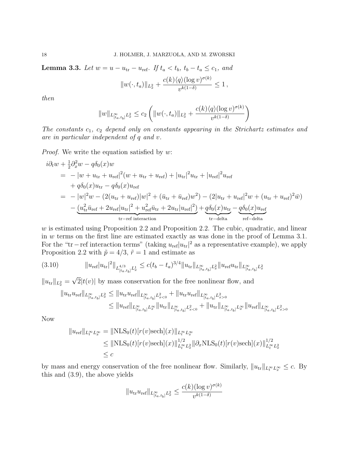**Lemma 3.3.** Let  $w = u - u_{\text{tr}} - u_{\text{ref}}$ . If  $t_a < t_b$ ,  $t_b - t_a \leq c_1$ , and

$$
||w(\cdot,t_a)||_{L_x^2} + \frac{c(k)\langle q\rangle(\log v)^{\sigma(k)}}{v^{k(1-\delta)}} \le 1,
$$

then

$$
||w||_{L_{[t_a,t_b]}^{\infty}L_x^2} \le c_2 \left(||w(\cdot,t_a)||_{L_x^2} + \frac{c(k)\langle q \rangle (\log v)^{\sigma(k)}}{v^{k(1-\delta)}}\right)
$$

The constants  $c_1$ ,  $c_2$  depend only on constants appearing in the Strichartz estimates and are in particular independent of q and v.

*Proof.* We write the equation satisfied by  $w$ :

$$
i\partial_t w + \frac{1}{2}\partial_x^2 w - q\delta_0(x)w
$$
  
=  $-|w + u_{tr} + u_{ref}|^2(w + u_{tr} + u_{ref}) + |u_{tr}|^2 u_{tr} + |u_{ref}|^2 u_{ref}$   
+  $q\delta_0(x)u_{tr} - q\delta_0(x)u_{ref}$   
=  $-|w|^2 w - (2(u_{tr} + u_{ref})|w|^2 + (\bar{u}_{tr} + \bar{u}_{ref})w^2) - (2|u_{tr} + u_{ref}|^2 w + (u_{tr} + u_{ref})^2 \bar{w})$   
-  $\underbrace{(u_{tr}^2 \bar{u}_{ref} + 2u_{ref}|u_{tr}|^2 + u_{ref}^2 \bar{u}_{tr} + 2u_{tr}|u_{ref}|^2)}_{tr-refinteraction} + \underbrace{q\delta_0(x)u_{tr}}_{tr-delta} - \underbrace{q\delta_0(x)u_{ref}}_{ref-delta}$ 

w is estimated using Proposition 2.2 and Proposition 2.2. The cubic, quadratic, and linear in w terms on the first line are estimated exactly as was done in the proof of Lemma 3.1. For the "tr – ref interaction terms" (taking  $u_{\text{ref}}|u_{\text{tr}}|^2$  as a representative example), we apply Proposition 2.2 with  $\tilde{p} = 4/3$ ,  $\tilde{r} = 1$  and estimate as

$$
(3.10) \t\t ||u_{ref}|u_{tr}|^{2}||_{L_{[t_{a},t_{b}]}^{4/3}L_{x}^{1}} \leq c(t_{b}-t_{a})^{3/4}||u_{tr}||_{L_{[t_{a},t_{b}]}^{\infty}L_{x}^{2}}||u_{ref}u_{tr}||_{L_{[t_{a},t_{b}]}^{\infty}L_{x}^{2}}
$$

 $||u_{tr}||_{L_x^2} =$  $2|t(v)|$  by mass conservation for the free nonlinear flow, and

$$
||u_{\text{tr}}u_{\text{ref}}||_{L_{[t_a,t_b]}^{\infty}L_x^2} \le ||u_{\text{tr}}u_{\text{ref}}||_{L_{[t_a,t_b]}^{\infty}L_{x<0}^2} + ||u_{\text{tr}}u_{\text{ref}}||_{L_{[t_a,t_b]}^{\infty}L_{x>0}^2}
$$
  

$$
\le ||u_{\text{ref}}||_{L_{[t_a,t_b]}^{\infty}L_x^{\infty}}||u_{\text{tr}}||_{L_{[t_a,t_b]}^{\infty}L_{x<0}^2} + ||u_{\text{tr}}||_{L_{[t_a,t_b]}^{\infty}L_x^{\infty}}||u_{\text{ref}}||_{L_{[t_a,t_b]}^{\infty}L_{x>0}^2}
$$

Now

$$
||u_{\text{ref}}||_{L_t^\infty L_x^\infty} = ||\text{NLS}_0(t)[r(v)\text{sech}](x)||_{L_t^\infty L_x^\infty}
$$
  
\n
$$
\leq ||\text{NLS}_0(t)[r(v)\text{sech}](x)||_{L_t^\infty L_x^2}^{1/2} ||\partial_x \text{NLS}_0(t)[r(v)\text{sech}](x)||_{L_t^\infty L_x^2}^{1/2}
$$
  
\n
$$
\leq c
$$

by mass and energy conservation of the free nonlinear flow. Similarly,  $||u_{tr}||_{L_r^{\infty}L_r^{\infty}} \leq c$ . By this and (3.9), the above yields

$$
||u_{\text{tr}} u_{\text{ref}}||_{L_{[t_a, t_b]}^{\infty} L_x^2} \le \frac{c(k) (\log v)^{\sigma(k)}}{v^{k(1-\delta)}}
$$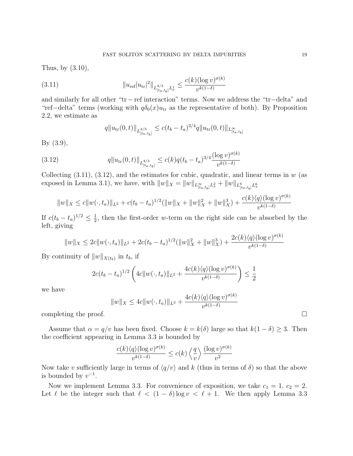Thus, by (3.10),

(3.11) 
$$
||u_{\text{ref}}|u_{\text{tr}}|^2||_{L_{[t_a, t_b]}^{4/3} L_x^1} \leq \frac{c(k)(\log v)^{\sigma(k)}}{v^{k(1-\delta)}}
$$

and similarly for all other "tr−ref interaction" terms. Now we address the "tr−delta" and "ref–delta" terms (working with  $q\delta_0(x)u_{tr}$  as the representative of both). By Proposition 2.2, we estimate as

$$
q||u_{\text{tr}}(0,t)||_{L_{[t_a,t_b]}^{4/3}} \leq c(t_b-t_a)^{3/4}q||u_{\text{tr}}(0,t)||_{L_{[t_a,t_b]}^{\infty}}
$$

By (3.9),

(3.12) 
$$
q \|u_{\text{tr}}(0,t)\|_{L_{[ta,t_b]}^{4/3}} \le c(k)q(t_b-t_a)^{3/4} \frac{(\log v)^{\sigma(k)}}{v^{k(1-\delta)}}
$$

Collecting  $(3.11)$ ,  $(3.12)$ , and the estimates for cubic, quadratic, and linear terms in w (as exposed in Lemma 3.1), we have, with  $||w||_X = ||w||_{L^{\infty}_{[t_a,t_b]}L^2_x} + ||w||_{L^6_{[t_a,t_b]}L^6_x}$ 

$$
||w||_X \le c||w(\cdot, t_a)||_{L^2} + c(t_b - t_a)^{1/2} (||w||_X + ||w||_X^2 + ||w||_X^3) + \frac{c(k)\langle q\rangle (\log v)^{\sigma(k)}}{v^{k(1-\delta)}}
$$

If  $c(t_b - t_a)^{1/2} \leq \frac{1}{2}$  $\frac{1}{2}$ , then the first-order w-term on the right side can be absorbed by the left, giving

$$
||w||_X \le 2c||w(\cdot, t_a)||_{L^2} + 2c(t_b - t_a)^{1/2} (||w||_X^2 + ||w||_X^3) + \frac{2c(k)\langle q \rangle (\log v)^{\sigma(k)}}{v^{k(1-\delta)}}
$$

By continuity of  $||w||_{X(t_b)}$  in  $t_b$ , if

$$
2c(t_b - t_a)^{1/2} \left( 4c \|w(\cdot, t_a)\|_{L^2} + \frac{4c(k)\langle q \rangle (\log v)^{\sigma(k)}}{v^{k(1-\delta)}} \right) \le \frac{1}{2}
$$

we have

$$
||w||_X \le 4c||w(\cdot, t_a)||_{L^2} + \frac{4c(k)\langle q\rangle(\log v)^{\sigma(k)}}{v^{k(1-\delta)}}
$$

completing the proof.  $\Box$ 

Assume that  $\alpha = q/v$  has been fixed. Choose  $k = k(\delta)$  large so that  $k(1 - \delta) \geq 3$ . Then the coefficient appearing in Lemma 3.3 is bounded by

$$
\frac{c(k)\langle q\rangle(\log v)^{\sigma(k)}}{v^{k(1-\delta)}} \le c(k)\left\langle \frac{q}{v} \right\rangle \frac{(\log v)^{\sigma(k)}}{v^2}
$$

Now take v sufficiently large in terms of  $\langle q/v \rangle$  and k (thus in terms of  $\delta$ ) so that the above is bounded by  $v^{-1}$ .

Now we implement Lemma 3.3. For convenience of exposition, we take  $c_1 = 1, c_2 = 2$ . Let  $\ell$  be the integer such that  $\ell < (1 - \delta) \log v < \ell + 1$ . We then apply Lemma 3.3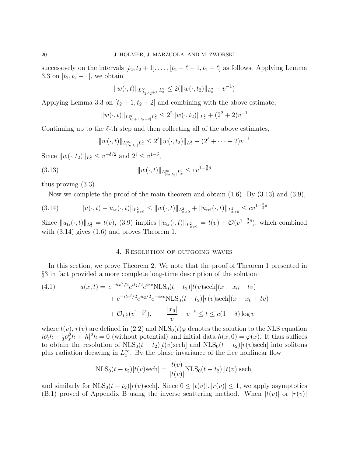successively on the intervals  $[t_2, t_2 + 1], \ldots, [t_2 + \ell - 1, t_2 + \ell]$  as follows. Applying Lemma 3.3 on  $[t_2, t_2 + 1]$ , we obtain

$$
||w(\cdot,t)||_{L_{[t_2,t_2+1]}^{\infty}L_x^2} \leq 2(||w(\cdot,t_2)||_{L_x^2} + v^{-1})
$$

Applying Lemma 3.3 on  $[t_2 + 1, t_2 + 2]$  and combining with the above estimate,

$$
||w(\cdot,t)||_{L^{\infty}_{[t_2+1,t_2+2]}L^2_x} \leq 2^2 ||w(\cdot,t_2)||_{L^2_x} + (2^2+2)v^{-1}
$$

Continuing up to the  $\ell$ -th step and then collecting all of the above estimates,

$$
||w(\cdot,t)||_{L^{\infty}_{[t_2,t_3]}L^{2}_{x}} \leq 2^{\ell}||w(\cdot,t_2)||_{L^{2}_{x}} + (2^{\ell} + \cdots + 2)v^{-1}
$$

Since  $||w(\cdot, t_2)||_{L_x^2} \le v^{-\delta/2}$  and  $2^{\ell} \le v^{1-\delta}$ ,

$$
(3.13) \t\t\t\t\t \|w(\cdot,t)\|_{L_{[t_2,t_3]}^{\infty}L_x^2} \leq c v^{1-\frac{3}{2}\delta}
$$

thus proving (3.3).

Now we complete the proof of the main theorem and obtain  $(1.6)$ . By  $(3.13)$  and  $(3.9)$ ,

$$
(3.14) \t\t ||u(\cdot,t) - u_{tr}(\cdot,t)||_{L_{x>0}^2} \le ||w(\cdot,t)||_{L_{x>0}^2} + ||u_{ref}(\cdot,t)||_{L_{x>0}^2} \le c v^{1-\frac{3}{2}\delta}
$$

Since  $||u_{tr}(\cdot, t)||_{L_x^2} = t(v)$ , (3.9) implies  $||u_{tr}(\cdot, t)||_{L_{x>0}^2} = t(v) + \mathcal{O}(v^{1-\frac{3}{2}\delta})$ , which combined with (3.14) gives (1.6) and proves Theorem 1.

## 4. Resolution of outgoing waves

In this section, we prove Theorem 2. We note that the proof of Theorem 1 presented in §3 in fact provided a more complete long-time description of the solution:

(4.1) 
$$
u(x,t) = e^{-itv^2/2} e^{it_2/2} e^{ixv} \text{NLS}_0(t - t_2) [t(v) \text{sech}](x - x_0 - tv) + e^{-itv^2/2} e^{it_2/2} e^{-ixv} \text{NLS}_0(t - t_2) [r(v) \text{sech}](x + x_0 + tv) + \mathcal{O}_{L_x^2}(v^{1-\frac{3}{2}\delta}), \qquad \frac{|x_0|}{v} + v^{-\delta} \le t \le c(1 - \delta) \log v
$$

where  $t(v)$ ,  $r(v)$  are defined in (2.2) and  $NLS_0(t)\varphi$  denotes the solution to the NLS equation  $i\partial_t h + \frac{1}{2}$  $\frac{1}{2}\partial_x^2 h + |h|^2 h = 0$  (without potential) and initial data  $h(x, 0) = \varphi(x)$ . It thus suffices to obtain the resolution of  $NLS_0(t - t_2)[t(v)\text{sech}]$  and  $NLS_0(t - t_2)[r(v)\text{sech}]$  into solitons plus radiation decaying in  $L_x^{\infty}$ . By the phase invariance of the free nonlinear flow

$$
NLS_0(t - t_2)[t(v)\text{sech}] = \frac{t(v)}{|t(v)|} NLS_0(t - t_2)[|t(v)|\text{sech}]
$$

and similarly for  $NLS_0(t - t_2)[r(v)\text{sech}]$ . Since  $0 \leq |t(v)|, |r(v)| \leq 1$ , we apply asymptotics (B.1) proved of Appendix B using the inverse scattering method. When  $|t(v)|$  or  $|r(v)|$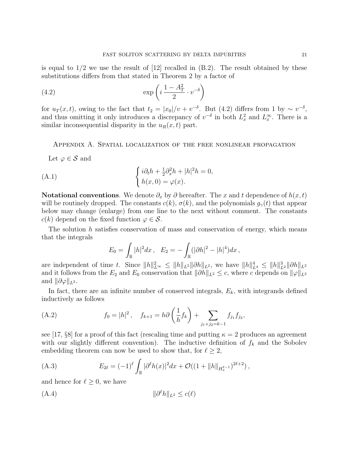is equal to  $1/2$  we use the result of  $[12]$  recalled in  $(B.2)$ . The result obtained by these substitutions differs from that stated in Theorem 2 by a factor of

(4.2) 
$$
\exp\left(i\frac{1-A_T^2}{2}\cdot v^{-\delta}\right)
$$

for  $u_T(x,t)$ , owing to the fact that  $t_2 = |x_0|/v + v^{-\delta}$ . But (4.2) differs from 1 by ~  $v^{-\delta}$ , and thus omitting it only introduces a discrepancy of  $v^{-\delta}$  in both  $L_x^2$  and  $L_x^{\infty}$ . There is a similar inconsequential disparity in the  $u_R(x, t)$  part.

#### Appendix A. Spatial localization of the free nonlinear propagation

Let  $\varphi \in \mathcal{S}$  and

(A.1) 
$$
\begin{cases} i\partial_t h + \frac{1}{2}\partial_x^2 h + |h|^2 h = 0, \\ h(x, 0) = \varphi(x). \end{cases}
$$

**Notational conventions.** We denote  $\partial_x$  by  $\partial$  hereafter. The x and t dependence of  $h(x, t)$ will be routinely dropped. The constants  $c(k)$ ,  $\sigma(k)$ , and the polynomials  $g_{\gamma}(t)$  that appear below may change (enlarge) from one line to the next without comment. The constants  $c(k)$  depend on the fixed function  $\varphi \in \mathcal{S}$ .

The solution  $h$  satisfies conservation of mass and conservation of energy, which means that the integrals

$$
E_0 = \int_{\mathbb{R}} |h|^2 dx \, , \quad E_2 = -\int_{\mathbb{R}} (|\partial h|^2 - |h|^4) dx \, ,
$$

are independent of time t. Since  $||h||_{L^{\infty}}^2 \le ||h||_{L^2} ||\partial h||_{L^2}$ , we have  $||h||_{L^4}^4 \le ||h||_{L^2}^3 ||\partial h||_{L^2}$ and it follows from the  $E_2$  and  $E_0$  conservation that  $\|\partial h\|_{L^2} \leq c$ , where c depends on  $\|\varphi\|_{L^2}$ and  $\|\partial \varphi\|_{L^2}$ .

In fact, there are an infinite number of conserved integrals,  $E<sub>k</sub>$ , with integrands defined inductively as follows

(A.2) 
$$
f_0 = |h|^2, \quad f_{k+1} = h\partial\left(\frac{1}{h}f_k\right) + \sum_{j_1+j_2=k-1} f_{j_1}f_{j_2},
$$

see [17, §8] for a proof of this fact (rescaling time and putting  $\kappa = 2$  produces an agreement with our slightly different convention). The inductive definition of  $f_k$  and the Sobolev embedding theorem can now be used to show that, for  $\ell \geq 2$ ,

(A.3) 
$$
E_{2\ell} = (-1)^{\ell} \int_{\mathbb{R}} |\partial^{\ell}h(x)|^2 dx + \mathcal{O}((1 + ||h||_{H_x^{\ell-1}})^{2\ell+2}),
$$

and hence for  $\ell \geq 0$ , we have

$$
(A.4) \t\t\t\t ||\partial^{\ell}h||_{L^2} \le c(\ell)
$$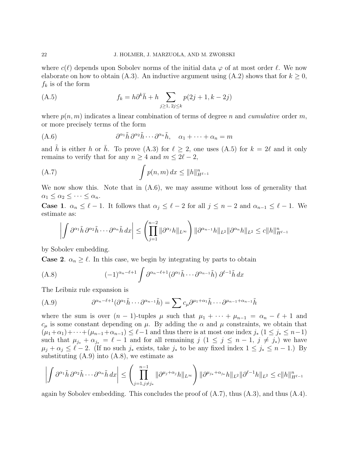where  $c(\ell)$  depends upon Sobolev norms of the initial data  $\varphi$  of at most order  $\ell$ . We now elaborate on how to obtain (A.3). An inductive argument using (A.2) shows that for  $k \geq 0$ ,  $f_k$  is of the form

(A.5) 
$$
f_k = h \partial^k \bar{h} + h \sum_{j \ge 1, 2j \le k} p(2j + 1, k - 2j)
$$

where  $p(n, m)$  indicates a linear combination of terms of degree n and *cumulative* order m, or more precisely terms of the form

(A.6) 
$$
\partial^{\alpha_1} \tilde{h} \, \partial^{\alpha_2} \tilde{h} \cdots \partial^{\alpha_n} \tilde{h}, \quad \alpha_1 + \cdots + \alpha_n = m
$$

and  $\tilde{h}$  is either h or  $\bar{h}$ . To prove (A.3) for  $\ell \geq 2$ , one uses (A.5) for  $k = 2\ell$  and it only remains to verify that for any  $n \geq 4$  and  $m \leq 2\ell - 2$ ,

$$
\int p(n,m) dx \le ||h||_{H^{\ell-1}}^n
$$

We now show this. Note that in  $(A.6)$ , we may assume without loss of generality that  $\alpha_1 \leq \alpha_2 \leq \cdots \leq \alpha_n.$ 

**Case 1.**  $\alpha_n \leq \ell - 1$ . It follows that  $\alpha_j \leq \ell - 2$  for all  $j \leq n - 2$  and  $\alpha_{n-1} \leq \ell - 1$ . We estimate as:

$$
\left| \int \partial^{\alpha_1} \tilde{h} \, \partial^{\alpha_2} \tilde{h} \cdots \partial^{\alpha_n} \tilde{h} \, dx \right| \leq \left( \prod_{j=1}^{n-2} \|\partial^{\alpha_j} h\|_{L^{\infty}} \right) \|\partial^{\alpha_{n-1}} h\|_{L^2} \|\partial^{\alpha_n} h\|_{L^2} \leq c \|h\|_{H^{\ell-1}}^n
$$

by Sobolev embedding.

**Case 2.**  $\alpha_n \geq \ell$ . In this case, we begin by integrating by parts to obtain

(A.8) 
$$
(-1)^{\alpha_n - \ell + 1} \int \partial^{\alpha_n - \ell + 1} (\partial^{\alpha_1} \tilde{h} \cdots \partial^{\alpha_{n-1}} \tilde{h}) \partial^{\ell - 1} \tilde{h} dx
$$

The Leibniz rule expansion is

(A.9) 
$$
\partial^{\alpha_n-\ell+1}(\partial^{\alpha_1}\tilde{h}\cdots\partial^{\alpha_{n-1}}\tilde{h})=\sum c_{\mu}\partial^{\mu_1+\alpha_1}\tilde{h}\cdots\partial^{\mu_{n-1}+\alpha_{n-1}}\tilde{h}
$$

where the sum is over  $(n - 1)$ -tuples  $\mu$  such that  $\mu_1 + \cdots + \mu_{n-1} = \alpha_n - \ell + 1$  and  $c_{\mu}$  is some constant depending on  $\mu$ . By adding the  $\alpha$  and  $\mu$  constraints, we obtain that  $(\mu_1+\alpha_1)+\cdots+(\mu_{n-1}+\alpha_{n-1})\leq \ell-1$  and thus there is at most one index  $j_*$   $(1\leq j_*\leq n-1)$ such that  $\mu_{j_*} + \alpha_{j_*} = \ell - 1$  and for all remaining  $j$   $(1 \leq j \leq n - 1, j \neq j_*)$  we have  $\mu_j + \alpha_j \leq \ell - 2$ . (If no such  $j_*$  exists, take  $j_*$  to be any fixed index  $1 \leq j_* \leq n - 1$ .) By substituting  $(A.9)$  into  $(A.8)$ , we estimate as

$$
\left| \int \partial^{\alpha_1} \tilde{h} \, \partial^{\alpha_2} \tilde{h} \cdots \partial^{\alpha_n} \tilde{h} \, dx \right| \leq \left( \prod_{j=1, j \neq j_*}^{n-1} \|\partial^{\mu_j + \alpha_j} h\|_{L^{\infty}} \right) \|\partial^{\mu_{j_*} + \alpha_{j_*}} h\|_{L^2} \|\partial^{\ell - 1} h\|_{L^2} \leq c \|h\|_{H^{\ell - 1}}^n
$$

again by Sobolev embedding. This concludes the proof of  $(A.7)$ , thus  $(A.3)$ , and thus  $(A.4)$ .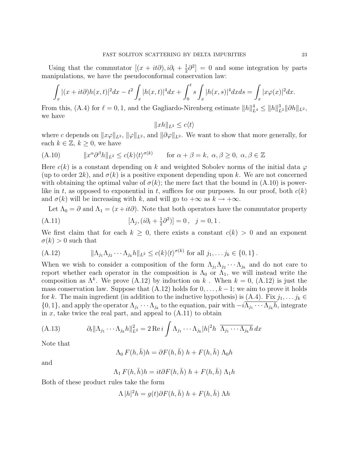Using that the commutator  $[(x + it\partial), i\partial_t + \frac{1}{2}]$  $\frac{1}{2}\partial^2$  = 0 and some integration by parts manipulations, we have the pseudoconformal conservation law:

$$
\int_x |(x+it\partial)h(x,t)|^2 dx - t^2 \int_x |h(x,t)|^4 dx + \int_0^t s \int_x |h(x,s)|^4 dx ds = \int_x |x\varphi(x)|^2 dx.
$$

From this, (A.4) for  $\ell = 0, 1$ , and the Gagliardo-Nirenberg estimate  $||h||_{L^4}^4 \le ||h||_{L^2}^3 ||\partial h||_{L^2}$ , we have

$$
||xh||_{L^2} \le c\langle t \rangle
$$

where c depends on  $||x\varphi||_{L^2}$ ,  $||\varphi||_{L^2}$ , and  $||\partial \varphi||_{L^2}$ . We want to show that more generally, for each  $k \in \mathbb{Z}, k \geq 0$ , we have

(A.10) 
$$
||x^{\alpha}\partial^{\beta}h||_{L^{2}} \le c(k)\langle t\rangle^{\sigma(k)} \quad \text{for } \alpha + \beta = k, \ \alpha, \beta \ge 0, \ \alpha, \beta \in \mathbb{Z}
$$

Here  $c(k)$  is a constant depending on k and weighted Sobolev norms of the initial data  $\varphi$ (up to order 2k), and  $\sigma(k)$  is a positive exponent depending upon k. We are not concerned with obtaining the optimal value of  $\sigma(k)$ ; the mere fact that the bound in  $(A.10)$  is powerlike in t, as opposed to exponential in t, suffices for our purposes. In our proof, both  $c(k)$ and  $\sigma(k)$  will be increasing with k, and will go to  $+\infty$  as  $k \to +\infty$ .

Let  $\Lambda_0 = \partial$  and  $\Lambda_1 = (x+it\partial)$ . Note that both operators have the commutator property

(A.11) 
$$
[\Lambda_j, (i\partial_t + \frac{1}{2}\partial^2)] = 0, \quad j = 0, 1.
$$

We first claim that for each  $k \geq 0$ , there exists a constant  $c(k) > 0$  and an exponent  $\sigma(k) > 0$  such that

(A.12) 
$$
\|\Lambda_{j_1}\Lambda_{j_2}\cdots\Lambda_{j_k}h\|_{L^2}\leq c(k)\langle t\rangle^{\sigma(k)} \text{ for all } j_1,\ldots j_k\in\{0,1\}.
$$

When we wish to consider a composition of the form  $\Lambda_{j_1}\Lambda_{j_2}\cdots\Lambda_{j_k}$  and do not care to report whether each operator in the composition is  $\Lambda_0$  or  $\Lambda_1$ , we will instead write the composition as  $\Lambda^k$ . We prove (A.12) by induction on k. When  $k = 0$ , (A.12) is just the mass conservation law. Suppose that  $(A.12)$  holds for  $0, \ldots, k-1$ ; we aim to prove it holds for k. The main ingredient (in addition to the inductive hypothesis) is  $(A.4)$ . Fix  $j_1, \ldots j_k \in$  $\{0,1\}$ , and apply the operator  $\Lambda_{j_1}\cdots\Lambda_{j_k}$  to the equation, pair with  $-i\Lambda_{j_1}\cdots\Lambda_{j_k}h$ , integrate in  $x$ , take twice the real part, and appeal to  $(A.11)$  to obtain

(A.13) 
$$
\partial_t \|\Lambda_{j_1}\cdots\Lambda_{j_k}h\|_{L^2}^2 = 2 \operatorname{Re} i \int \Lambda_{j_1}\cdots\Lambda_{j_k} |h|^2 h \ \overline{\Lambda_{j_1}\cdots\Lambda_{j_k}h} dx
$$

Note that

$$
\Lambda_0 F(h, \bar{h})h = \partial F(h, \bar{h}) h + F(h, \bar{h}) \Lambda_0 h
$$

and

$$
\Lambda_1 F(h, \bar{h})h = it\partial F(h, \bar{h}) h + F(h, \bar{h}) \Lambda_1 h
$$

Both of these product rules take the form

$$
\Lambda |h|^2 h = g(t)\partial F(h,\bar{h}) h + F(h,\bar{h}) \Lambda h
$$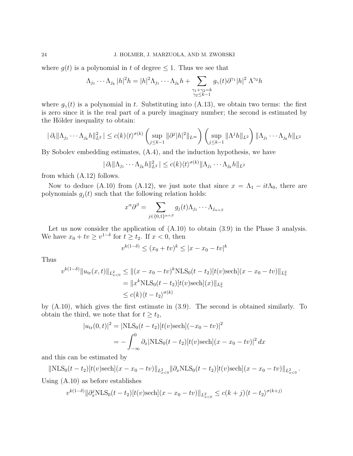where  $q(t)$  is a polynomial in t of degree  $\leq 1$ . Thus we see that

$$
\Lambda_{j_1}\cdots\Lambda_{j_k}|h|^2h=|h|^2\Lambda_{j_1}\cdots\Lambda_{j_k}h+\sum_{\substack{\gamma_1+\gamma_2=k\\\gamma_2\leq k-1}}g_{\gamma}(t)\partial^{\gamma_1}|h|^2\Lambda^{\gamma_2}h
$$

where  $g_{\gamma}(t)$  is a polynomial in t. Substituting into (A.13), we obtain two terms: the first is zero since it is the real part of a purely imaginary number; the second is estimated by the Hölder inequality to obtain:

$$
|\partial_t \|\Lambda_{j_1}\cdots\Lambda_{j_k}h\|_{L^2}^2|\leq c(k)\langle t\rangle^{\sigma(k)}\left(\sup_{j\leq k-1}\|\partial^j|h|^2\|_{L^\infty}\right)\left(\sup_{j\leq k-1}\|\Lambda^jh\|_{L^2}\right)\|\Lambda_{j_1}\cdots\Lambda_{j_k}h\|_{L^2}
$$

By Sobolev embedding estimates, (A.4), and the induction hypothesis, we have

$$
|\partial_t \|\Lambda_{j_1}\cdots\Lambda_{j_k} h\|_{L^2}^2| \leq c(k) \langle t \rangle^{\sigma(k)} \|\Lambda_{j_1}\cdots\Lambda_{j_k} h\|_{L^2}
$$

from which (A.12) follows.

Now to deduce (A.10) from (A.12), we just note that since  $x = \Lambda_1 - it\Lambda_0$ , there are polynomials  $g_i(t)$  such that the following relation holds:

$$
x^{\alpha}\partial^{\beta} = \sum_{j \in \{0,1\}^{\alpha+\beta}} g_j(t)\Lambda_{j_1} \cdots \Lambda_{j_{\alpha+\beta}}
$$

Let us now consider the application of (A.10) to obtain (3.9) in the Phase 3 analysis. We have  $x_0 + tv \ge v^{1-\delta}$  for  $t \ge t_2$ . If  $x < 0$ , then

$$
v^{k(1-\delta)} \le (x_0 + tv)^k \le |x - x_0 - tv|^k
$$

Thus

$$
v^{k(1-\delta)} \|u_{\text{tr}}(x,t)\|_{L_{x<0}^2} \le \| (x-x_0-tv)^k \text{NLS}_0(t-t_2) [t(v) \text{sech}] (x-x_0-tv) \|_{L_x^2}
$$
  
=  $||x^k \text{NLS}_0(t-t_2) [t(v) \text{sech}] (x) \|_{L_x^2}$   
 $\le c(k) \langle t-t_2 \rangle^{\sigma(k)}$ 

by (A.10), which gives the first estimate in (3.9). The second is obtained similarly. To obtain the third, we note that for  $t \geq t_2$ ,

$$
|u_{\rm tr}(0,t)|^2 = |\text{NLS}_0(t-t_2)[t(v)\text{sech}](-x_0-tv)|^2
$$
  
= 
$$
-\int_{-\infty}^0 \partial_x |\text{NLS}_0(t-t_2)[t(v)\text{sech}](x-x_0-tv)|^2 dx
$$

and this can be estimated by

 $\|\text{NLS}_0(t-t_2)[t(v)\text{sech}](x-x_0-tv)\|_{L^2_{x<0}} \|\partial_x \text{NLS}_0(t-t_2)[t(v)\text{sech}](x-x_0-tv)\|_{L^2_{x<0}}.$ Using (A.10) as before establishes

$$
v^{k(1-\delta)} \|\partial_x^j \text{NLS}_0(t - t_2)[t(v)\text{sech}](x - x_0 - tv)\|_{L^2_{x<0}} \le c(k + j)(t - t_2)^{\sigma(k + j)}
$$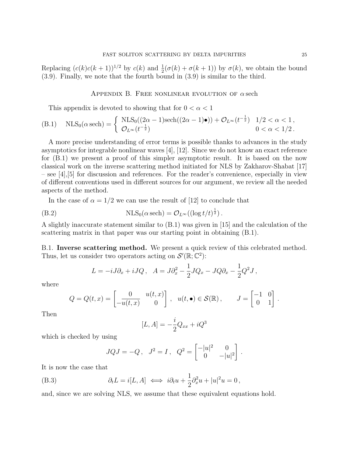Replacing  $(c(k)c(k+1))^{1/2}$  by  $c(k)$  and  $\frac{1}{2}(\sigma(k) + \sigma(k+1))$  by  $\sigma(k)$ , we obtain the bound (3.9). Finally, we note that the fourth bound in (3.9) is similar to the third.

APPENDIX B. FREE NONLINEAR EVOLUTION OF  $\alpha$  sech

This appendix is devoted to showing that for  $0 < \alpha < 1$ 

(B.1) NLS<sub>0</sub>(
$$
\alpha
$$
sech) = 
$$
\begin{cases} NLS_0((2\alpha - 1)\text{sech}((2\alpha - 1)\bullet)) + \mathcal{O}_{L^{\infty}}(t^{-\frac{1}{2}}) & 1/2 < \alpha < 1, \\ \mathcal{O}_{L^{\infty}}(t^{-\frac{1}{2}}) & 0 < \alpha < 1/2. \end{cases}
$$

A more precise understanding of error terms is possible thanks to advances in the study asymptotics for integrable nonlinear waves [4], [12]. Since we do not know an exact reference for (B.1) we present a proof of this simpler asymptotic result. It is based on the now classical work on the inverse scattering method initiated for NLS by Zakharov-Shabat [17] – see [4],[5] for discussion and references. For the reader's convenience, especially in view of different conventions used in different sources for our argument, we review all the needed aspects of the method.

In the case of  $\alpha = 1/2$  we can use the result of [12] to conclude that

(B.2) NLS<sub>0</sub>(
$$
\alpha
$$
sech) =  $\mathcal{O}_{L^{\infty}}((\log t/t)^{\frac{1}{2}})$ .

A slightly inaccurate statement similar to (B.1) was given in [15] and the calculation of the scattering matrix in that paper was our starting point in obtaining (B.1).

B.1. Inverse scattering method. We present a quick review of this celebrated method. Thus, let us consider two operators acting on  $\mathcal{S}'(\mathbb{R};\mathbb{C}^2)$ :

$$
L = -iJ\partial_x + iJQ, \quad A = J\partial_x^2 - \frac{1}{2}JQ_x - JQ\partial_x - \frac{1}{2}Q^2J,
$$

where

$$
Q = Q(t, x) = \begin{bmatrix} 0 & u(t, x) \\ -\overline{u(t, x)} & 0 \end{bmatrix}, \quad u(t, \bullet) \in \mathcal{S}(\mathbb{R}), \qquad J = \begin{bmatrix} -1 & 0 \\ 0 & 1 \end{bmatrix}.
$$

Then

$$
[L, A] = -\frac{i}{2}Q_{xx} + iQ^3
$$

which is checked by using

$$
JQJ = -Q, \quad J^2 = I, \quad Q^2 = \begin{bmatrix} -|u|^2 & 0\\ 0 & -|u|^2 \end{bmatrix}.
$$

It is now the case that

(B.3) 
$$
\partial_t L = i[L, A] \iff i\partial_t u + \frac{1}{2}\partial_x^2 u + |u|^2 u = 0,
$$

and, since we are solving NLS, we assume that these equivalent equations hold.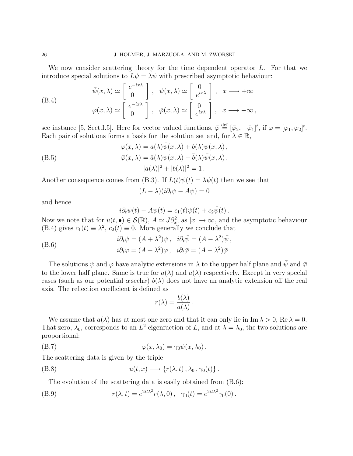We now consider scattering theory for the time dependent operator L. For that we introduce special solutions to  $L\psi = \lambda \psi$  with prescribed asymptotic behaviour:

(B.4)  
\n
$$
\bar{\psi}(x,\lambda) \simeq \begin{bmatrix} e^{-ix\lambda} \\ 0 \end{bmatrix}, \quad \psi(x,\lambda) \simeq \begin{bmatrix} 0 \\ e^{ix\lambda} \end{bmatrix}, \quad x \longrightarrow +\infty
$$
\n
$$
\varphi(x,\lambda) \simeq \begin{bmatrix} e^{-ix\lambda} \\ 0 \end{bmatrix}, \quad \bar{\varphi}(x,\lambda) \simeq \begin{bmatrix} 0 \\ e^{ix\lambda} \end{bmatrix}, \quad x \longrightarrow -\infty,
$$

see instance [5, Sect.I.5]. Here for vector valued functions,  $\bar{\varphi} \stackrel{\text{def}}{=} [\bar{\varphi}_2, -\bar{\varphi}_1]^t$ , if  $\varphi = [\varphi_1, \varphi_2]^t$ . Each pair of solutions forms a basis for the solution set and, for  $\lambda \in \mathbb{R}$ ,

(B.5)  
\n
$$
\varphi(x,\lambda) = a(\lambda)\bar{\psi}(x,\lambda) + b(\lambda)\psi(x,\lambda),
$$
\n
$$
\bar{\varphi}(x,\lambda) = \bar{a}(\lambda)\psi(x,\lambda) - \bar{b}(\lambda)\bar{\psi}(x,\lambda),
$$
\n
$$
|a(\lambda)|^2 + |b(\lambda)|^2 = 1.
$$

Another consequence comes from (B.3). If  $L(t)\psi(t) = \lambda \psi(t)$  then we see that

$$
(L - \lambda)(i\partial_t \psi - A\psi) = 0
$$

and hence

$$
i\partial_t \psi(t) - A\psi(t) = c_1(t)\psi(t) + c_2\bar{\psi}(t).
$$

Now we note that for  $u(t, \bullet) \in \mathcal{S}(\mathbb{R})$ ,  $A \simeq J \partial_x^2$ , as  $|x| \to \infty$ , and the asymptotic behaviour (B.4) gives  $c_1(t) \equiv \lambda^2$ ,  $c_2(t) \equiv 0$ . More generally we conclude that

(B.6) 
$$
i\partial_t \psi = (A + \lambda^2)\psi, \quad i\partial_t \bar{\psi} = (A - \lambda^2)\bar{\psi},
$$

$$
i\partial_t \varphi = (A + \lambda^2)\varphi, \quad i\partial_t \bar{\varphi} = (A - \lambda^2)\bar{\varphi}.
$$

The solutions  $\psi$  and  $\varphi$  have analytic extensions in  $\lambda$  to the upper half plane and  $\bar{\psi}$  and  $\bar{\varphi}$ to the lower half plane. Same is true for  $a(\lambda)$  and  $\overline{a(\lambda)}$  respectively. Except in very special cases (such as our potential  $\alpha$  sechx)  $b(\lambda)$  does not have an analytic extension off the real axis. The reflection coefficient is defined as

$$
r(\lambda) = \frac{b(\lambda)}{a(\lambda)}.
$$

We assume that  $a(\lambda)$  has at most one zero and that it can only lie in Im  $\lambda > 0$ , Re  $\lambda = 0$ . That zero,  $\lambda_0$ , corresponds to an  $L^2$  eigenfuction of L, and at  $\lambda = \lambda_0$ , the two solutions are proportional:

(B.7) 
$$
\varphi(x,\lambda_0)=\gamma_0\psi(x,\lambda_0).
$$

The scattering data is given by the triple

(B.8) 
$$
u(t,x) \longmapsto \{r(\lambda,t), \lambda_0, \gamma_0(t)\}.
$$

The evolution of the scattering data is easily obtained from (B.6):

(B.9) 
$$
r(\lambda, t) = e^{2it\lambda^2} r(\lambda, 0), \quad \gamma_0(t) = e^{2it\lambda^2} \gamma_0(0).
$$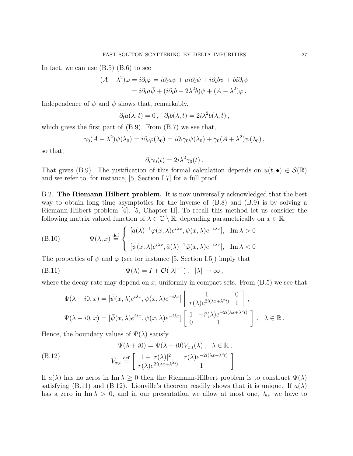In fact, we can use  $(B.5)$   $(B.6)$  to see

$$
(A - \lambda^2)\varphi = i\partial_t\varphi = i\partial_t a\bar{\psi} + ai\partial_t \bar{\psi} + i\partial_t b\psi + bi\partial_t \psi
$$
  
=  $i\partial_t a\bar{\psi} + (i\partial_t b + 2\lambda^2 b)\psi + (A - \lambda^2)\varphi$ .

Independence of  $\psi$  and  $\bar{\psi}$  shows that, remarkably,

$$
\partial_t a(\lambda, t) = 0 \,, \quad \partial_t b(\lambda, t) = 2i\lambda^2 b(\lambda, t) \,,
$$

which gives the first part of  $(B.9)$ . From  $(B.7)$  we see that,

$$
\gamma_0(A - \lambda^2)\psi(\lambda_0) = i\partial_t\varphi(\lambda_0) = i\partial_t\gamma_0\psi(\lambda_0) + \gamma_0(A + \lambda^2)\psi(\lambda_0),
$$

so that,

$$
\partial_t \gamma_0(t) = 2i\lambda^2 \gamma_0(t) \,.
$$

That gives (B.9). The justification of this formal calculation depends on  $u(t, \bullet) \in \mathcal{S}(\mathbb{R})$ and we refer to, for instance, [5, Section I.7] for a full proof.

B.2. The Riemann Hilbert problem. It is now universally acknowledged that the best way to obtain long time asymptotics for the inverse of (B.8) and (B.9) is by solving a Riemann-Hilbert problem [4], [5, Chapter II]. To recall this method let us consider the following matrix valued function of  $\lambda \in \mathbb{C} \setminus \mathbb{R}$ , depending parametrically on  $x \in \mathbb{R}$ :

(B.10) 
$$
\Psi(\lambda, x) \stackrel{\text{def}}{=} \begin{cases} [a(\lambda)^{-1} \varphi(x, \lambda) e^{i\lambda x}, \psi(x, \lambda) e^{-i\lambda x}], & \text{Im } \lambda > 0 \\ [a \overline{\psi}(x, \lambda) e^{i\lambda x}, \overline{a}(\overline{\lambda})^{-1} \overline{\varphi}(x, \lambda) e^{-i\lambda x}], & \text{Im } \lambda < 0 \end{cases}
$$

The properties of  $\psi$  and  $\varphi$  (see for instance [5, Section I.5]) imply that

(B.11) 
$$
\Psi(\lambda) = I + \mathcal{O}(|\lambda|^{-1}), \quad |\lambda| \to \infty,
$$

where the decay rate may depend on x, uniformly in compact sets. From  $(B.5)$  we see that

$$
\Psi(\lambda + i0, x) = [\bar{\psi}(x, \lambda)e^{i\lambda x}, \psi(x, \lambda)e^{-i\lambda x}] \begin{bmatrix} 1 & 0 \\ r(\lambda)e^{2i(\lambda x + \lambda^2 t)} & 1 \end{bmatrix},
$$
  
\n
$$
\Psi(\lambda - i0, x) = [\bar{\psi}(x, \lambda)e^{i\lambda x}, \psi(x, \lambda)e^{-i\lambda x}] \begin{bmatrix} 1 & -\bar{r}(\lambda)e^{-2i(\lambda x + \lambda^2 t)} \\ 0 & 1 \end{bmatrix}, \lambda \in \mathbb{R}.
$$

Hence, the boundary values of  $\Psi(\lambda)$  satisfy

(B.12) 
$$
\Psi(\lambda + i0) = \Psi(\lambda - i0)V_{x,t}(\lambda), \quad \lambda \in \mathbb{R},
$$

$$
V_{x,t} \stackrel{\text{def}}{=} \begin{bmatrix} 1 + |r(\lambda)|^2 & \bar{r}(\lambda)e^{-2i(\lambda x + \lambda^2 t)} \\ r(\lambda)e^{2i(\lambda x + \lambda^2 t)} & 1 \end{bmatrix}
$$

If  $a(\lambda)$  has no zeros in Im  $\lambda \geq 0$  then the Riemann-Hilbert problem is to construct  $\Psi(\lambda)$ satisfying (B.11) and (B.12). Liouville's theorem readily shows that it is unique. If  $a(\lambda)$ has a zero in Im  $\lambda > 0$ , and in our presentation we allow at most one,  $\lambda_0$ , we have to

.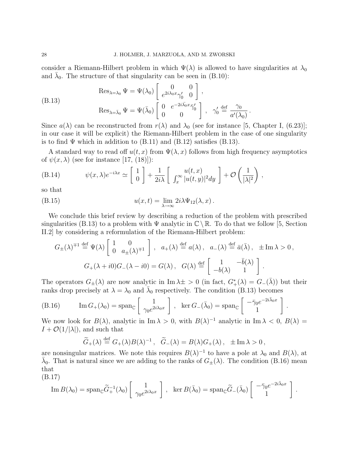consider a Riemann-Hilbert problem in which  $\Psi(\lambda)$  is allowed to have singularities at  $\lambda_0$ and  $\bar{\lambda}_0$ . The structure of that singularity can be seen in (B.10):

(B.13) 
$$
\operatorname{Res}_{\lambda=\lambda_0} \Psi = \Psi(\lambda_0) \begin{bmatrix} 0 & 0 \\ e^{2i\lambda_0 x} \gamma'_0 & 0 \end{bmatrix},
$$

$$
\operatorname{Res}_{\lambda=\bar{\lambda}_0} \Psi = \Psi(\bar{\lambda}_0) \begin{bmatrix} 0 & e^{-2i\bar{\lambda_0}x} \overline{\gamma}'_0 \\ 0 & 0 \end{bmatrix}, \quad \gamma'_0 \stackrel{\text{def}}{=} \frac{\gamma_0}{a'(\lambda_0)}.
$$

Since  $a(\lambda)$  can be reconstructed from  $r(\lambda)$  and  $\lambda_0$  (see for instance [5, Chapter I, (6.23)]; in our case it will be explicit) the Riemann-Hilbert problem in the case of one singularity is to find  $\Psi$  which in addition to  $(B.11)$  and  $(B.12)$  satisfies  $(B.13)$ .

A standard way to read off  $u(t, x)$  from  $\Psi(\lambda, x)$  follows from high frequency asymptotics of  $\psi(x, \lambda)$  (see for instance [17, (18)]):

(B.14) 
$$
\psi(x,\lambda)e^{-i\lambda x} \simeq \left[\begin{array}{c}1\\0\end{array}\right] + \frac{1}{2i\lambda}\left[\begin{array}{c}u(t,x)\\ \int_x^\infty |u(t,y)|^2 dy\end{array}\right] + \mathcal{O}\left(\frac{1}{|\lambda|^2}\right),
$$

so that

(B.15) 
$$
u(x,t) = \lim_{\lambda \to \infty} 2i\lambda \Psi_{12}(\lambda, x).
$$

We conclude this brief review by describing a reduction of the problem with prescribed singularities (B.13) to a problem with  $\Psi$  analytic in  $\mathbb{C} \setminus \mathbb{R}$ . To do that we follow [5, Section II.2] by considering a reformulation of the Riemann-Hilbert problem:

$$
G_{\pm}(\lambda)^{\mp 1} \stackrel{\text{def}}{=} \Psi(\lambda) \begin{bmatrix} 1 & 0 \\ 0 & a_{\pm}(\lambda)^{\mp 1} \end{bmatrix}, a_{+}(\lambda) \stackrel{\text{def}}{=} a(\lambda), a_{-}(\lambda) \stackrel{\text{def}}{=} \bar{a}(\bar{\lambda}), \pm \text{Im}\,\lambda > 0,
$$
  

$$
G_{+}(\lambda + i0)G_{-}(\lambda - i0) = G(\lambda), G(\lambda) \stackrel{\text{def}}{=} \begin{bmatrix} 1 & -\bar{b}(\lambda) \\ -b(\lambda) & 1 \end{bmatrix}.
$$

The operators  $G_{\pm}(\lambda)$  are now analytic in Im  $\lambda \pm > 0$  (in fact,  $G^*_{+}(\lambda) = G_{-}(\bar{\lambda})$ ) but their ranks drop precisely at  $\lambda = \lambda_0$  and  $\bar{\lambda}_0$  respectively. The condition (B.13) becomes

(B.16) 
$$
\operatorname{Im} G_{+}(\lambda_{0}) = \operatorname{span}_{\mathbb{C}} \left[ \begin{array}{c} 1 \\ \gamma_{0} e^{2i\lambda_{0}x} \end{array} \right], \text{ } \operatorname{ker} G_{-}(\bar{\lambda}_{0}) = \operatorname{span}_{\mathbb{C}} \left[ \begin{array}{c} -\bar{\gamma}_{0} e^{-2i\bar{\lambda}_{0}x} \\ 1 \end{array} \right].
$$

We now look for  $B(\lambda)$ , analytic in Im  $\lambda > 0$ , with  $B(\lambda)^{-1}$  analytic in Im  $\lambda < 0$ ,  $B(\lambda) =$  $I + \mathcal{O}(1/|\lambda|)$ , and such that

$$
\widetilde{G}_{+}(\lambda) \stackrel{\text{def}}{=} G_{+}(\lambda)B(\lambda)^{-1}, \quad \widetilde{G}_{-}(\lambda) = B(\lambda)G_{+}(\lambda), \quad \pm \operatorname{Im} \lambda > 0,
$$

are nonsingular matrices. We note this requires  $B(\lambda)^{-1}$  to have a pole at  $\lambda_0$  and  $B(\lambda)$ , at  $\bar{\lambda}_0$ . That is natural since we are adding to the ranks of  $G_{\pm}(\lambda)$ . The condition (B.16) mean that

$$
(B.17)
$$

$$
\operatorname{Im} B(\lambda_0) = \operatorname{span}_{\mathbb{C}} \widetilde{G}_+^{-1}(\lambda_0) \left[ \begin{array}{c} 1 \\ \gamma_0 e^{2i\lambda_0 x} \end{array} \right], \quad \ker B(\bar{\lambda}_0) = \operatorname{span}_{\mathbb{C}} \widetilde{G}_-(\bar{\lambda}_0) \left[ \begin{array}{c} -\bar{\gamma}_0 e^{-2i\bar{\lambda}_0 x} \\ 1 \end{array} \right].
$$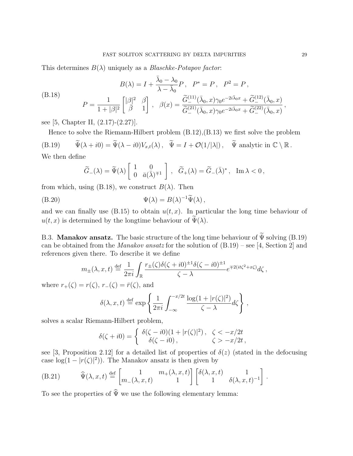This determines  $B(\lambda)$  uniquely as a *Blaschke-Potapov factor*:

$$
B(\lambda) = I + \frac{\bar{\lambda}_0 - \lambda_0}{\lambda - \bar{\lambda}_0} P, \quad P^* = P, \quad P^2 = P,
$$
  
(B.18)  

$$
P = \frac{1}{1 + |\beta|^2} \begin{bmatrix} |\beta|^2 & \beta \\ \bar{\beta} & 1 \end{bmatrix}, \quad \beta(x) = \frac{\widetilde{G}_-^{(11)}(\bar{\lambda}_0, x)\gamma_0 e^{-2i\bar{\lambda}_0 x} + \widetilde{G}_-^{(12)}(\bar{\lambda}_0, x)}{\widetilde{G}_-^{(21)}(\bar{\lambda}_0, x)\gamma_0 e^{-2i\bar{\lambda}_0 x} + \widetilde{G}_-^{(22)}(\bar{\lambda}_0, x)},
$$

see [5, Chapter II, (2.17)-(2.27)].

Hence to solve the Riemann-Hilbert problem (B.12),(B.13) we first solve the problem (B.19)  $\widetilde{\Psi}(\lambda + i0) = \widetilde{\Psi}(\lambda - i0)V_{x,t}(\lambda)$ ,  $\widetilde{\Psi} = I + \mathcal{O}(1/|\lambda|)$ ,  $\widetilde{\Psi}$  analytic in  $\mathbb{C} \setminus \mathbb{R}$ . We then define

$$
\widetilde{G}_{-}(\lambda) = \widetilde{\Psi}(\lambda) \left[ \begin{array}{cc} 1 & 0 \\ 0 & \bar{a}(\bar{\lambda})^{\mp 1} \end{array} \right], \quad \widetilde{G}_{+}(\lambda) = \widetilde{G}_{-}(\bar{\lambda})^{\ast}, \quad \text{Im } \lambda < 0,
$$

from which, using (B.18), we construct  $B(\lambda)$ . Then

(B.20) 
$$
\Psi(\lambda) = B(\lambda)^{-1} \widetilde{\Psi}(\lambda),
$$

and we can finally use  $(B.15)$  to obtain  $u(t, x)$ . In particular the long time behaviour of  $u(t, x)$  is determined by the longtime behaviour of  $\Psi(\lambda)$ .

B.3. Manakov ansatz. The basic structure of the long time behaviour of  $\widetilde{\Psi}$  solving (B.19) can be obtained from the *Manakov ansatz* for the solution of  $(B.19)$  – see [4, Section 2] and references given there. To describe it we define

$$
m_{\pm}(\lambda, x, t) \stackrel{\text{def}}{=} \frac{1}{2\pi i} \int_{\mathbb{R}} \frac{r_{\pm}(\zeta)\delta(\zeta + i0)^{\pm 1}\delta(\zeta - i0)^{\pm 1}}{\zeta - \lambda} e^{\mp 2(it\zeta^2 + x\zeta)} d\zeta,
$$

where  $r_+(\zeta) = r(\zeta), r_-(\zeta) = \bar{r}(\zeta)$ , and

$$
\delta(\lambda, x, t) \stackrel{\text{def}}{=} \exp\left\{\frac{1}{2\pi i} \int_{-\infty}^{-x/2t} \frac{\log(1+|r(\zeta)|^2)}{\zeta - \lambda} d\zeta\right\},\,
$$

solves a scalar Riemann-Hilbert problem,

$$
\delta(\zeta + i0) = \begin{cases} \delta(\zeta - i0)(1+|r(\zeta)|^2), & \zeta < -x/2t \\ \delta(\zeta - i0), & \zeta > -x/2t, \end{cases}
$$

see [3, Proposition 2.12] for a detailed list of properties of  $\delta(z)$  (stated in the defocusing case  $log(1 - |r(\zeta)|^2)$ . The Manakov ansatz is then given by

(B.21) 
$$
\widehat{\Psi}(\lambda, x, t) \stackrel{\text{def}}{=} \begin{bmatrix} 1 & m_{+}(\lambda, x, t) \\ m_{-}(\lambda, x, t) & 1 \end{bmatrix} \begin{bmatrix} \delta(\lambda, x, t) & 1 \\ 1 & \delta(\lambda, x, t)^{-1} \end{bmatrix}.
$$

To see the properties of  $\widehat{\Psi}$  we use the following elementary lemma: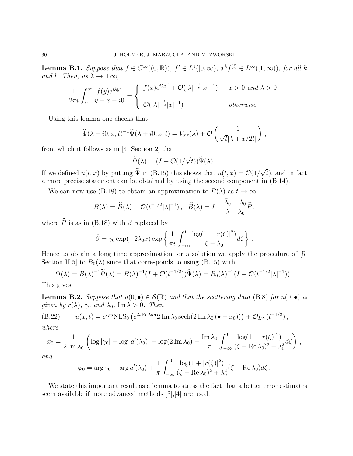**Lemma B.1.** Suppose that  $f \in C^{\infty}((0, \mathbb{R}))$ ,  $f' \in L^{1}([0, \infty))$ ,  $x^{k} f^{(l)} \in L^{\infty}([1, \infty))$ , for all k and l. Then, as  $\lambda \to \pm \infty$ ,

$$
\frac{1}{2\pi i} \int_0^\infty \frac{f(y)e^{i\lambda y^2}}{y - x - i0} = \begin{cases} f(x)e^{i\lambda x^2} + \mathcal{O}(|\lambda|^{-\frac{1}{2}}|x|^{-1}) & x > 0 \text{ and } \lambda > 0\\ \mathcal{O}(|\lambda|^{-\frac{1}{2}}|x|^{-1}) & otherwise. \end{cases}
$$

Using this lemma one checks that

$$
\widehat{\Psi}(\lambda - i0, x, t)^{-1} \widehat{\Psi}(\lambda + i0, x, t) = V_{x,t}(\lambda) + \mathcal{O}\left(\frac{1}{\sqrt{t}|\lambda + x/2t|}\right),
$$

from which it follows as in [4, Section 2] that

$$
\widetilde{\Psi}(\lambda) = (I + \mathcal{O}(1/\sqrt{t})) \widehat{\Psi}(\lambda).
$$

If we defined  $\tilde{u}(t, x)$  by putting  $\Psi$  in (B.15) this shows that  $\tilde{u}(t, x) = \mathcal{O}(1)$ √  $(t)$ , and in fact a more precise statement can be obtained by using the second component in (B.14).

We can now use (B.18) to obtain an approximation to  $B(\lambda)$  as  $t \to \infty$ :

$$
B(\lambda) = \widehat{B}(\lambda) + \mathcal{O}(t^{-1/2}|\lambda|^{-1}), \quad \widehat{B}(\lambda) = I - \frac{\bar{\lambda}_0 - \lambda_0}{\lambda - \bar{\lambda}_0} \widehat{P},
$$

where  $\widehat{P}$  is as in (B.18) with β replaced by

$$
\hat{\beta} = \gamma_0 \exp(-2\bar{\lambda}_0 x) \exp\left\{\frac{1}{\pi i} \int_{-\infty}^0 \frac{\log(1+|r(\zeta)|^2)}{\zeta - \lambda_0} d\zeta\right\}.
$$

Hence to obtain a long time approximation for a solution we apply the procedure of [5, Section II.5 to  $B_0(\lambda)$  since that corresponds to using (B.15) with

$$
\Psi(\lambda) = B(\lambda)^{-1} \widetilde{\Psi}(\lambda) = B(\lambda)^{-1} (I + \mathcal{O}(t^{-1/2})) \widehat{\Psi}(\lambda) = B_0(\lambda)^{-1} (I + \mathcal{O}(t^{-1/2}|\lambda|^{-1})).
$$

This gives

**Lemma B.2.** Suppose that  $u(0, \bullet) \in \mathcal{S}(\mathbb{R})$  and that the scattering data (B.8) for  $u(0, \bullet)$  is given by  $r(\lambda)$ ,  $\gamma_0$  and  $\lambda_0$ , Im  $\lambda > 0$ . Then

(B.22) 
$$
u(x,t) = e^{i\varphi_0} NLS_0 \left( e^{2i \operatorname{Re} \lambda_0 \bullet} 2 \operatorname{Im} \lambda_0 \operatorname{sech} (2 \operatorname{Im} \lambda_0 (\bullet - x_0)) \right) + \mathcal{O}_{L^{\infty}}(t^{-1/2}),
$$

where

$$
x_0 = \frac{1}{2 \operatorname{Im} \lambda_0} \left( \log |\gamma_0| - \log |a'(\lambda_0)| - \log (2 \operatorname{Im} \lambda_0) - \frac{\operatorname{Im} \lambda_0}{\pi} \int_{-\infty}^0 \frac{\log (1 + |r(\zeta)|^2)}{(\zeta - \operatorname{Re} \lambda_0)^2 + \lambda_0^2} d\zeta \right) ,
$$

and

$$
\varphi_0 = \arg \gamma_0 - \arg a'(\lambda_0) + \frac{1}{\pi} \int_{-\infty}^0 \frac{\log(1+|r(\zeta)|^2)}{(\zeta - \text{Re }\lambda_0)^2 + \lambda_0^2} (\zeta - \text{Re }\lambda_0) d\zeta.
$$

We state this important result as a lemma to stress the fact that a better error estimates seem available if more advanced methods [3],[4] are used.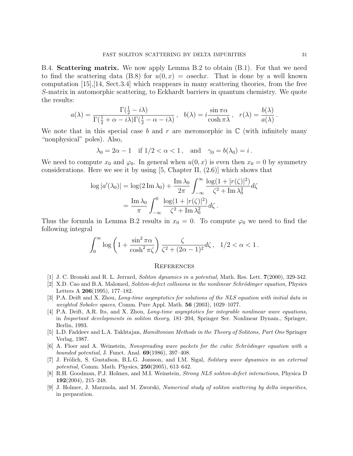B.4. Scattering matrix. We now apply Lemma B.2 to obtain (B.1). For that we need to find the scattering data (B.8) for  $u(0, x) = \alpha$  see hx. That is done by a well known computation [15],[14, Sect.3.4] which reappears in many scattering theories, from the free S-matrix in automorphic scattering, to Eckhardt barriers in quantum chemistry. We quote the results:

$$
a(\lambda) = \frac{\Gamma(\frac{1}{2} - i\lambda)}{\Gamma(\frac{1}{2} + \alpha - i\lambda)\Gamma(\frac{1}{2} - \alpha - i\lambda)}, \quad b(\lambda) = i\frac{\sin \pi \alpha}{\cosh \pi \lambda}, \quad r(\lambda) = \frac{b(\lambda)}{a(\lambda)}.
$$

We note that in this special case b and r are meromorphic in  $\mathbb C$  (with infinitely many "nonphysical" poles). Also,

$$
\lambda_0 = 2\alpha - 1 \quad \text{if } 1/2 < \alpha < 1 \,, \quad \text{and} \quad \gamma_0 = b(\lambda_0) = i \,.
$$

We need to compute  $x_0$  and  $\varphi_0$ . In general when  $u(0, x)$  is even then  $x_0 = 0$  by symmetry considerations. Here we see it by using  $[5, Chapter II, (2.6)]$  which shows that

$$
\log |a'(\lambda_0)| = \log(2 \operatorname{Im} \lambda_0) + \frac{\operatorname{Im} \lambda_0}{2\pi} \int_{-\infty}^{\infty} \frac{\log(1+|r(\zeta)|^2)}{\zeta^2 + \operatorname{Im} \lambda_0^2} d\zeta
$$

$$
= \frac{\operatorname{Im} \lambda_0}{\pi} \int_{-\infty}^{0} \frac{\log(1+|r(\zeta)|^2)}{\zeta^2 + \operatorname{Im} \lambda_0^2} d\zeta.
$$

Thus the formula in Lemma B.2 results in  $x_0 = 0$ . To compute  $\varphi_0$  we need to find the following integral

$$
\int_0^\infty \log\left(1+\frac{\sin^2\pi\alpha}{\cosh^2\pi\zeta}\right) \frac{\zeta}{\zeta^2+(2\alpha-1)^2}d\zeta\,,\ \ 1/2<\alpha<1\,.
$$

#### **REFERENCES**

- [1] J. C. Bronski and R. L. Jerrard, Soliton dynamics in a potential, Math. Res. Lett. 7(2000), 329-342.
- [2] X.D. Cao and B.A. Malomed, Soliton-defect collisions in the nonlinear Schrödinger equation, Physics Letters A 206(1995), 177–182.
- [3] P.A. Deift and X. Zhou, Long-time asymptotics for solutions of the NLS equation with initial data in weighted Sobolev spaces, Comm. Pure Appl. Math.  $56$  (2003), 1029–1077.
- [4] P.A. Deift, A.R. Its, and X. Zhou, Long-time asymptotics for integrable nonlinear wave equations, in Important developments in soliton theory, 181–204, Springer Ser. Nonlinear Dynam., Springer, Berlin, 1993.
- [5] L.D. Faddeev and L.A. Takhtajan, Hamiltonian Methods in the Theory of Solitons, Part One Springer Verlag, 1987.
- $[6]$  A. Floer and A. Weinstein, Nonspreading wave packets for the cubic Schrödinger equation with a bounded potential, J. Funct. Anal. 69(1986), 397–408.
- [7] J. Frölich, S. Gustafson, B.L.G. Jonsson, and I.M. Sigal, Solitary wave dynamics in an external potential, Comm. Math. Physics, 250(2005), 613–642.
- [8] R.H. Goodman, P.J. Holmes, and M.I. Weinstein, Strong NLS soliton-defect interactions, Physica D 192(2004), 215–248.
- [9] J. Holmer, J. Marzuola, and M. Zworski, Numerical study of soliton scattering by delta impurities, in preparation.